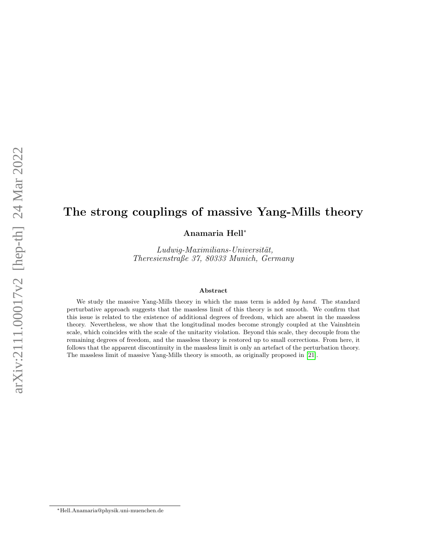# The strong couplings of massive Yang-Mills theory

Anamaria Hell<sup>∗</sup>

 $Ludwig-Maximilians-Universität,$ Theresienstraße 37, 80333 Munich, Germany

#### Abstract

We study the massive Yang-Mills theory in which the mass term is added by hand. The standard perturbative approach suggests that the massless limit of this theory is not smooth. We confirm that this issue is related to the existence of additional degrees of freedom, which are absent in the massless theory. Nevertheless, we show that the longitudinal modes become strongly coupled at the Vainshtein scale, which coincides with the scale of the unitarity violation. Beyond this scale, they decouple from the remaining degrees of freedom, and the massless theory is restored up to small corrections. From here, it follows that the apparent discontinuity in the massless limit is only an artefact of the perturbation theory. The massless limit of massive Yang-Mills theory is smooth, as originally proposed in [\[21\]](#page-22-0).

<sup>∗</sup>Hell.Anamaria@physik.uni-muenchen.de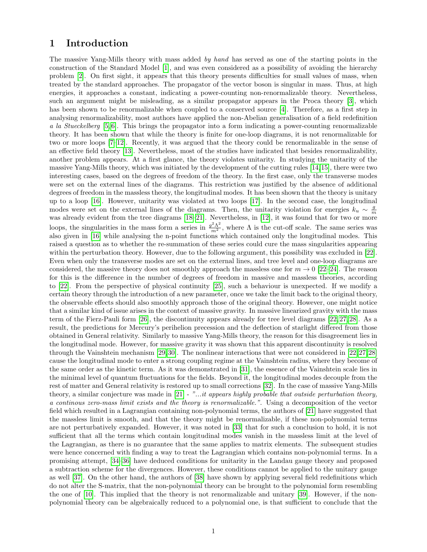### 1 Introduction

The massive Yang-Mills theory with mass added by hand has served as one of the starting points in the construction of the Standard Model [\[1\]](#page-22-1), and was even considered as a possibility of avoiding the hierarchy problem [\[2\]](#page-22-2). On first sight, it appears that this theory presents difficulties for small values of mass, when treated by the standard approaches. The propagator of the vector boson is singular in mass. Thus, at high energies, it approaches a constant, indicating a power-counting non-renormalizable theory. Nevertheless, such an argument might be misleading, as a similar propagator appears in the Proca theory [\[3\]](#page-22-3), which has been shown to be renormalizable when coupled to a conserved source [\[4\]](#page-22-4). Therefore, as a first step in analysing renormalizability, most authors have applied the non-Abelian generalisation of a field redefinition a la Stueckelberg [\[5,](#page-22-5) [6\]](#page-22-6). This brings the propagator into a form indicating a power-counting renormalizable theory. It has been shown that while the theory is finite for one-loop diagrams, it is not renormalizable for two or more loops [\[7–](#page-22-7)[12\]](#page-22-8). Recently, it was argued that the theory could be renormalizable in the sense of an effective field theory [\[13\]](#page-22-9). Nevertheless, most of the studies have indicated that besides renormalizability, another problem appears. At a first glance, the theory violates unitarity. In studying the unitarity of the massive Yang-Mills theory, which was initiated by the development of the cutting rules [\[14,](#page-22-10)[15\]](#page-22-11), there were two interesting cases, based on the degrees of freedom of the theory. In the first case, only the transverse modes were set on the external lines of the diagrams. This restriction was justified by the absence of additional degrees of freedom in the massless theory, the longitudinal modes. It has been shown that the theory is unitary up to a loop [\[16\]](#page-22-12). However, unitarity was violated at two loops [\[17\]](#page-22-13). In the second case, the longitudinal modes were set on the external lines of the diagrams. Then, the unitarity violation for energies  $k_u \sim \frac{g}{m}$ was already evident from the tree diagrams [\[18](#page-22-14)[–21\]](#page-22-0). Nevertheless, in [\[12\]](#page-22-8), it was found that for two or more loops, the singularities in the mass form a series in  $\frac{g^2\Lambda^2}{m^2}$ , where  $\Lambda$  is the cut-off scale. The same series was also given in [\[16\]](#page-22-12) while analysing the n-point functions which contained only the longitudinal modes. This raised a question as to whether the re-summation of these series could cure the mass singularities appearing within the perturbation theory. However, due to the following argument, this possibility was excluded in [\[22\]](#page-22-15). Even when only the transverse modes are set on the external lines, and tree level and one-loop diagrams are considered, the massive theory does not smoothly approach the massless one for  $m \to 0$  [\[22](#page-22-15)[–24\]](#page-22-16). The reason for this is the difference in the number of degrees of freedom in massive and massless theories, according to [\[22\]](#page-22-15). From the perspective of physical continuity [\[25\]](#page-23-0), such a behaviour is unexpected. If we modify a certain theory through the introduction of a new parameter, once we take the limit back to the original theory, the observable effects should also smoothly approach those of the original theory. However, one might notice that a similar kind of issue arises in the context of massive gravity. In massive linearized gravity with the mass term of the Fierz-Pauli form [\[26\]](#page-23-1), the discontinuity appears already for tree level diagrams [\[22,](#page-22-15) [27,](#page-23-2) [28\]](#page-23-3). As a result, the predictions for Mercury's perihelion precession and the deflection of starlight differed from those obtained in General relativity. Similarly to massive Yang-Mills theory, the reason for this disagreement lies in the longitudinal mode. However, for massive gravity it was shown that this apparent discontinuity is resolved through the Vainshtein mechanism [\[29,](#page-23-4)[30\]](#page-23-5). The nonlinear interactions that were not considered in [\[22,](#page-22-15)[27,](#page-23-2)[28\]](#page-23-3) cause the longitudinal mode to enter a strong coupling regime at the Vainshtein radius, where they become of the same order as the kinetic term. As it was demonstrated in [\[31\]](#page-23-6), the essence of the Vainshtein scale lies in the minimal level of quantum fluctuations for the fields. Beyond it, the longitudinal modes decouple from the rest of matter and General relativity is restored up to small corrections [\[32\]](#page-23-7). In the case of massive Yang-Mills theory, a similar conjecture was made in  $[21]$  - "...it appears highly probable that outside perturbation theory, a continous zero-mass limit exists and the theory is renormalizable.". Using a decomposition of the vector field which resulted in a Lagrangian containing non-polynomial terms, the authors of [\[21\]](#page-22-0) have suggested that the massless limit is smooth, and that the theory might be renormalizable, if these non-polynomial terms are not perturbatively expanded. However, it was noted in [\[33\]](#page-23-8) that for such a conclusion to hold, it is not sufficient that all the terms which contain longitudinal modes vanish in the massless limit at the level of the Lagrangian, as there is no guarantee that the same applies to matrix elements. The subsequent studies were hence concerned with finding a way to treat the Lagrangian which contains non-polynomial terms. In a promising attempt, [\[34–](#page-23-9)[36\]](#page-23-10) have deduced conditions for unitarity in the Landau gauge theory and proposed a subtraction scheme for the divergences. However, these conditions cannot be applied to the unitary gauge as well [\[37\]](#page-23-11). On the other hand, the authors of [\[38\]](#page-23-12) have shown by applying several field redefinitions which do not alter the S-matrix, that the non-polynomial theory can be brought to the polynomial form resembling the one of [\[10\]](#page-22-17). This implied that the theory is not renormalizable and unitary [\[39\]](#page-23-13). However, if the nonpolynomial theory can be algebraically reduced to a polynomial one, is that sufficient to conclude that the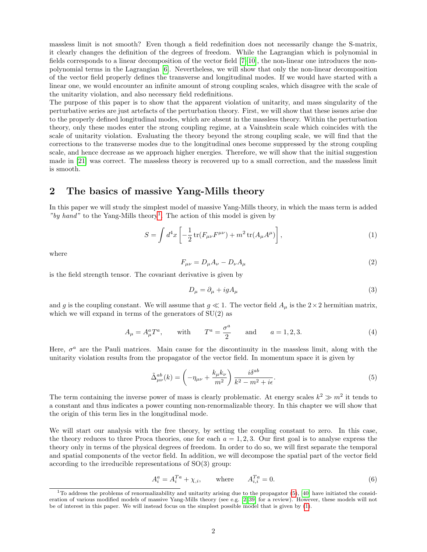massless limit is not smooth? Even though a field redefinition does not necessarily change the S-matrix, it clearly changes the definition of the degrees of freedom. While the Lagrangian which is polynomial in fields corresponds to a linear decomposition of the vector field [\[7–](#page-22-7)[10\]](#page-22-17), the non-linear one introduces the nonpolynomial terms in the Lagrangian [\[6\]](#page-22-6). Nevertheless, we will show that only the non-linear decomposition of the vector field properly defines the transverse and longitudinal modes. If we would have started with a linear one, we would encounter an infinite amount of strong coupling scales, which disagree with the scale of the unitarity violation, and also necessary field redefinitions.

The purpose of this paper is to show that the apparent violation of unitarity, and mass singularity of the perturbative series are just artefacts of the perturbation theory. First, we will show that these issues arise due to the properly defined longitudinal modes, which are absent in the massless theory. Within the perturbation theory, only these modes enter the strong coupling regime, at a Vainshtein scale which coincides with the scale of unitarity violation. Evaluating the theory beyond the strong coupling scale, we will find that the corrections to the transverse modes due to the longitudinal ones become suppressed by the strong coupling scale, and hence decrease as we approach higher energies. Therefore, we will show that the initial suggestion made in [\[21\]](#page-22-0) was correct. The massless theory is recovered up to a small correction, and the massless limit is smooth.

### 2 The basics of massive Yang-Mills theory

In this paper we will study the simplest model of massive Yang-Mills theory, in which the mass term is added "by hand" to the Yang-Mills theory<sup>[1](#page-2-0)</sup>. The action of this model is given by

$$
S = \int d^4x \left[ -\frac{1}{2} \text{tr}(F_{\mu\nu} F^{\mu\nu}) + m^2 \text{tr}(A_{\mu} A^{\mu}) \right], \tag{1}
$$

where

<span id="page-2-2"></span>
$$
F_{\mu\nu} = D_{\mu}A_{\nu} - D_{\nu}A_{\mu} \tag{2}
$$

is the field strength tensor. The covariant derivative is given by

<span id="page-2-1"></span>
$$
D_{\mu} = \partial_{\mu} + igA_{\mu} \tag{3}
$$

and g is the coupling constant. We will assume that  $g \ll 1$ . The vector field  $A_\mu$  is the  $2 \times 2$  hermitian matrix, which we will expand in terms of the generators of  $SU(2)$  as

$$
A_{\mu} = A_{\mu}^{a} T^{a}, \quad \text{with} \quad T^{a} = \frac{\sigma^{a}}{2} \quad \text{and} \quad a = 1, 2, 3. \tag{4}
$$

Here,  $\sigma^a$  are the Pauli matrices. Main cause for the discontinuity in the massless limit, along with the unitarity violation results from the propagator of the vector field. In momentum space it is given by

$$
\tilde{\Delta}^{ab}_{\mu\nu}(k) = \left(-\eta_{\mu\nu} + \frac{k_{\mu}k_{\nu}}{m^2}\right) \frac{i\delta^{ab}}{k^2 - m^2 + i\epsilon}.\tag{5}
$$

The term containing the inverse power of mass is clearly problematic. At energy scales  $k^2 \gg m^2$  it tends to a constant and thus indicates a power counting non-renormalizable theory. In this chapter we will show that the origin of this term lies in the longitudinal mode.

We will start our analysis with the free theory, by setting the coupling constant to zero. In this case, the theory reduces to three Proca theories, one for each  $a = 1, 2, 3$ . Our first goal is to analyse express the theory only in terms of the physical degrees of freedom. In order to do so, we will first separate the temporal and spatial components of the vector field. In addition, we will decompose the spatial part of the vector field according to the irreducible representations of SO(3) group:

<span id="page-2-3"></span>
$$
A_i^a = A_i^{Ta} + \chi_{,i}, \qquad \text{where} \qquad A_{i,i}^{Ta} = 0. \tag{6}
$$

<span id="page-2-0"></span> $1$ To address the problems of renormalizability and unitarity arising due to the propagator [\(5\)](#page-2-1), [\[40\]](#page-23-14) have initiated the consideration of various modified models of massive Yang-Mills theory (see e.g. [\[2,](#page-22-2) [39\]](#page-23-13) for a review). However, these models will not be of interest in this paper. We will instead focus on the simplest possible model that is given by [\(1\)](#page-2-2).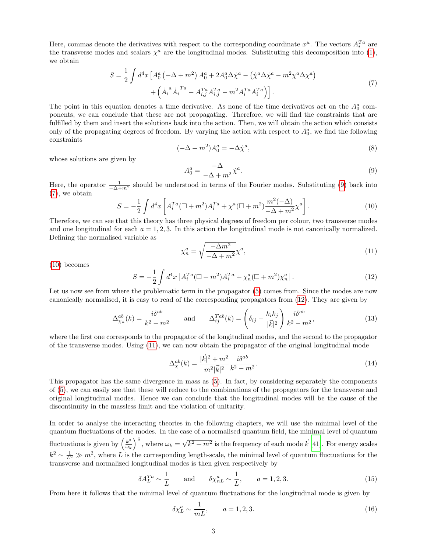Here, commas denote the derivatives with respect to the corresponding coordinate  $x^{\mu}$ . The vectors  $A_i^{Ta}$  are the transverse modes and scalars  $\chi^a$  are the longitudinal modes. Substituting this decomposition into [\(1\)](#page-2-2), we obtain

<span id="page-3-1"></span>
$$
S = \frac{1}{2} \int d^4x \left[ A_0^a \left( -\Delta + m^2 \right) A_0^a + 2 A_0^a \Delta \dot{\chi}^a - \left( \dot{\chi}^a \Delta \dot{\chi}^a - m^2 \chi^a \Delta \chi^a \right) \right. \\ \left. + \left( \dot{A}_i^a \dot{A}_i^{Ta} - A_{i,j}^{Ta} A_{i,j}^{Ta} - m^2 A_i^{Ta} A_i^{Ta} \right) \right]. \tag{7}
$$

The point in this equation denotes a time derivative. As none of the time derivatives act on the  $A_0^a$  components, we can conclude that these are not propagating. Therefore, we will find the constraints that are fulfilled by them and insert the solutions back into the action. Then, we will obtain the action which consists only of the propagating degrees of freedom. By varying the action with respect to  $A_0^a$ , we find the following constraints

<span id="page-3-0"></span>
$$
(-\Delta + m^2)A_0^a = -\Delta \dot{\chi}^a,\tag{8}
$$

whose solutions are given by

$$
A_0^a = \frac{-\Delta}{-\Delta + m^2} \dot{\chi}^a. \tag{9}
$$

Here, the operator  $\frac{1}{-\Delta+m^2}$  should be understood in terms of the Fourier modes. Substituting [\(9\)](#page-3-0) back into [\(7\)](#page-3-1), we obtain

<span id="page-3-2"></span>
$$
S = -\frac{1}{2} \int d^4x \left[ A_i^{Ta} (\Box + m^2) A_i^{Ta} + \chi^a (\Box + m^2) \frac{m^2 (-\Delta)}{-\Delta + m^2} \chi^a \right].
$$
 (10)

Therefore, we can see that this theory has three physical degrees of freedom per colour, two transverse modes and one longitudinal for each  $a = 1, 2, 3$ . In this action the longitudinal mode is not canonically normalized. Defining the normalised variable as

<span id="page-3-4"></span>
$$
\chi_n^a = \sqrt{\frac{-\Delta m^2}{-\Delta + m^2}} \chi^a,\tag{11}
$$

[\(10\)](#page-3-2) becomes

<span id="page-3-3"></span>
$$
S = -\frac{1}{2} \int d^4x \left[ A_i^{Ta} (\Box + m^2) A_i^{Ta} + \chi_n^a (\Box + m^2) \chi_n^a \right]. \tag{12}
$$

Let us now see from where the problematic term in the propagator  $(5)$  comes from. Since the modes are now canonically normalised, it is easy to read of the corresponding propagators from [\(12\)](#page-3-3). They are given by

$$
\Delta_{\chi_n}^{ab}(k) = \frac{i\delta^{ab}}{k^2 - m^2} \quad \text{and} \quad \Delta_{ij}^{Tab}(k) = \left(\delta_{ij} - \frac{k_i k_j}{|\vec{k}|^2}\right) \frac{i\delta^{ab}}{k^2 - m^2},\tag{13}
$$

where the first one corresponds to the propagator of the longitudinal modes, and the second to the propagator of the transverse modes. Using [\(11\)](#page-3-4), we can now obtain the propagator of the original longitudinal mode

$$
\Delta_{\chi}^{ab}(k) = \frac{|\vec{k}|^2 + m^2}{m^2 |\vec{k}|^2} \frac{i\delta^{ab}}{k^2 - m^2}.
$$
\n(14)

This propagator has the same divergence in mass as [\(5\)](#page-2-1). In fact, by considering separately the components of [\(5\)](#page-2-1), we can easily see that these will reduce to the combinations of the propagators for the transverse and original longitudinal modes. Hence we can conclude that the longitudinal modes will be the cause of the discontinuity in the massless limit and the violation of unitarity.

In order to analyse the interacting theories in the following chapters, we will use the minimal level of the quantum fluctuations of the modes. In the case of a normalised quantum field, the minimal level of quantum fluctuations is given by  $\left(\frac{k^3}{\omega} \right)$  $\left(\frac{k^3}{\omega_k}\right)^{\frac{1}{2}}$ , where  $\omega_k =$ √  $\sqrt{k^2 + m^2}$  is the frequency of each mode  $\vec{k}$  [\[41\]](#page-23-15). For energy scales  $k^2 \sim \frac{1}{L^2} \gg m^2$ , where L is the corresponding length-scale, the minimal level of quantum fluctuations for the transverse and normalized longitudinal modes is then given respectively by

$$
\delta A_L^{Ta} \sim \frac{1}{L} \quad \text{and} \quad \delta \chi_{nL}^a \sim \frac{1}{L}, \quad a = 1, 2, 3. \tag{15}
$$

From here it follows that the minimal level of quantum fluctuations for the longitudinal mode is given by

<span id="page-3-5"></span>
$$
\delta \chi_L^a \sim \frac{1}{mL}, \qquad a = 1, 2, 3. \tag{16}
$$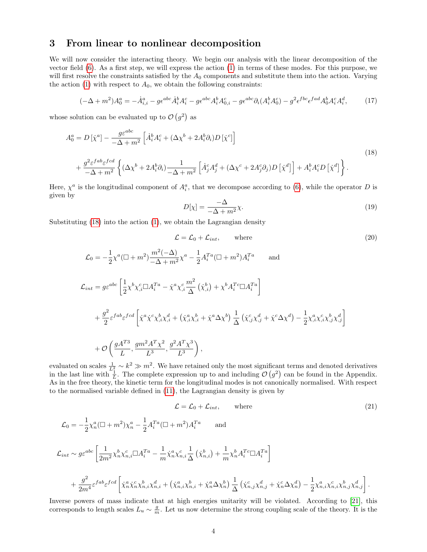## 3 From linear to nonlinear decomposition

We will now consider the interacting theory. We begin our analysis with the linear decomposition of the vector field [\(6\)](#page-2-3). As a first step, we will express the action [\(1\)](#page-2-2) in terms of these modes. For this purpose, we will first resolve the constraints satisfied by the  $A_0$  components and substitute them into the action. Varying the action [\(1\)](#page-2-2) with respect to  $A_0$ , we obtain the following constraints:

$$
(-\Delta + m^2)A_0^a = -\dot{A}_{i,i}^a - g\epsilon^{abc}\dot{A}_i^b A_i^c - g\epsilon^{abc}A_i^b A_{0,i}^c - g\epsilon^{abc}\partial_i(A_i^b A_0^c) - g^2\epsilon^{fbc}\epsilon^{fad}A_0^b A_i^c A_i^d,\tag{17}
$$

whose solution can be evaluated up to  $\mathcal{O}(g^2)$  as

$$
A_0^a = D[\dot{\chi}^a] - \frac{g\varepsilon^{abc}}{-\Delta + m^2} \left[ \dot{A}_i^b A_i^c + (\Delta \chi^b + 2A_i^b \partial_i) D[\dot{\chi}^c] \right]
$$
  
+ 
$$
\frac{g^2 \varepsilon^{fab} \varepsilon^{fcd}}{-\Delta + m^2} \left\{ (\Delta \chi^b + 2A_i^b \partial_i) \frac{1}{-\Delta + m^2} \left[ \dot{A}_j^c A_j^d + (\Delta \chi^c + 2A_j^c \partial_j) D[\dot{\chi}^d] \right] + A_i^b A_i^c D[\dot{\chi}^d] \right\}.
$$
 (18)

Here,  $\chi^a$  is the longitudinal component of  $A_i^a$ , that we decompose according to [\(6\)](#page-2-3), while the operator D is given by

<span id="page-4-2"></span><span id="page-4-1"></span><span id="page-4-0"></span>
$$
D[\chi] = \frac{-\Delta}{-\Delta + m^2} \chi.
$$
\n(19)

Substituting  $(18)$  into the action  $(1)$ , we obtain the Lagrangian density

$$
\mathcal{L} = \mathcal{L}_0 + \mathcal{L}_{int}, \qquad \text{where} \tag{20}
$$

$$
\mathcal{L}_0 = -\frac{1}{2}\chi^a(\Box + m^2)\frac{m^2(-\Delta)}{-\Delta + m^2}\chi^a - \frac{1}{2}A_i^{Ta}(\Box + m^2)A_i^{Ta} \quad \text{and}
$$
\n
$$
\mathcal{L}_{int} = g\varepsilon^{abc} \left[ \frac{1}{2}\chi^b \chi^c_{,i} \Box A_i^{Ta} - \dot{\chi}^a \chi^c_{,i} \frac{m^2}{\Delta} \left( \dot{\chi}^b_{,i} \right) + \chi^b A_i^{Tc} \Box A_i^{Ta} \right]
$$
\n
$$
+ \frac{g^2}{2} \varepsilon^{fab} \varepsilon^{fcd} \left[ \dot{\chi}^a \dot{\chi}^c \chi^b_{,i} \chi^d_{,i} + \left( \dot{\chi}^a_{,i} \chi^b_{,i} + \dot{\chi}^a \Delta \chi^b \right) \frac{1}{\Delta} \left( \dot{\chi}^c_{,j} \chi^d_{,j} + \dot{\chi}^c \Delta \chi^d \right) - \frac{1}{2} \chi^a_{,i} \chi^c_{,i} \chi^b_{,j} \chi^d_{,j} \right]
$$
\n
$$
+ \mathcal{O}\left(\frac{gA^{T3}}{L}, \frac{gm^2 A^T \chi^2}{L^3}, \frac{g^2 A^T \chi^3}{L^3} \right),
$$

evaluated on scales  $\frac{1}{L_1^2} \sim k^2 \gg m^2$ . We have retained only the most significant terms and denoted derivatives in the last line with  $\frac{1}{L}$ . The complete expression up to and including  $\mathcal{O}(g^2)$  can be found in the Appendix. As in the free theory, the kinetic term for the longitudinal modes is not canonically normalised. With respect to the normalised variable defined in [\(11\)](#page-3-4), the Lagrangian density is given by

$$
\mathcal{L} = \mathcal{L}_0 + \mathcal{L}_{int}, \qquad \text{where} \tag{21}
$$

$$
\mathcal{L}_0 = -\frac{1}{2}\chi_n^a (\Box + m^2) \chi_n^a - \frac{1}{2} A_i^{Ta} (\Box + m^2) A_i^{Ta} \quad \text{and}
$$
\n
$$
\mathcal{L}_{int} \sim g \varepsilon^{abc} \left[ \frac{1}{2m^2} \chi_n^b \chi_{n,i}^c \Box A_i^{Ta} - \frac{1}{m} \dot{\chi}_n^a \chi_{n,i}^c \frac{1}{\Delta} (\dot{\chi}_{n,i}^b) + \frac{1}{m} \chi_n^b A_i^{Tc} \Box A_i^{Ta} \right]
$$
\n
$$
+ \frac{g^2}{2m^4} \varepsilon^{fab} \varepsilon^{fcd} \left[ \dot{\chi}_n^a \dot{\chi}_n^c \chi_{n,i}^b \chi_{n,i}^d + (\dot{\chi}_{n,i}^a \chi_{n,i}^b + \dot{\chi}_n^a \Delta \chi_n^b) \frac{1}{\Delta} (\dot{\chi}_{n,j}^c \chi_{n,j}^d + \dot{\chi}_n^c \Delta \chi_n^d) - \frac{1}{2} \chi_{n,i}^a \chi_{n,i}^c \chi_{n,j}^b \chi_{n,j}^d \right].
$$

Inverse powers of mass indicate that at high energies unitarity will be violated. According to [\[21\]](#page-22-0), this corresponds to length scales  $L_u \sim \frac{g}{m}$ . Let us now determine the strong coupling scale of the theory. It is the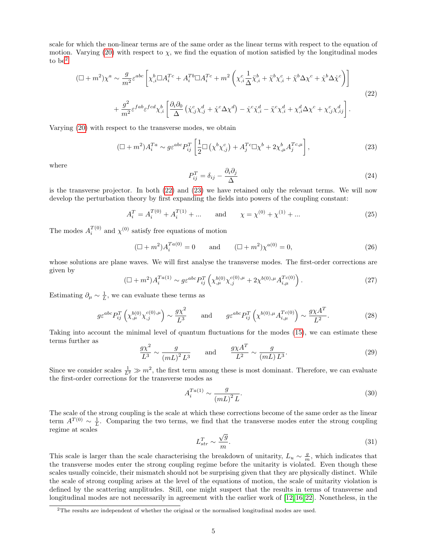scale for which the non-linear terms are of the same order as the linear terms with respect to the equation of motion. Varying [\(20\)](#page-4-1) with respect to  $\chi$ , we find the equation of motion satisfied by the longitudinal modes to be[2](#page-5-0)

<span id="page-5-1"></span>
$$
(\Box + m^2)\chi^a \sim \frac{g}{m^2} \varepsilon^{abc} \left[ \chi^b_{,i} \Box A_i^{Tc} + A_i^{Tb} \Box A_i^{Tc} + m^2 \left( \chi^c_{,i} \frac{1}{\Delta} \ddot{\chi}^b_{,i} + \ddot{\chi}^b \chi^c_{,i} + \ddot{\chi}^b \Delta \chi^c + \dot{\chi}^b \Delta \dot{\chi}^c \right) \right]
$$
  
+ 
$$
\frac{g^2}{m^2} \varepsilon^{fab} \varepsilon^{fcd} \chi^b_{,i} \left[ \frac{\partial_i \partial_0}{\Delta} \left( \dot{\chi}^c_{,j} \chi^d_{,j} + \dot{\chi}^c \Delta \chi^d \right) - \dot{\chi}^c \dot{\chi}^d_{,i} - \ddot{\chi}^c \chi^d_{,i} + \chi^d_{,i} \Delta \chi^c + \chi^c_{,j} \chi^d_{,ij} \right].
$$
 (22)

Varying [\(20\)](#page-4-1) with respect to the transverse modes, we obtain

$$
(\Box + m^2)A_i^{Ta} \sim g\varepsilon^{abc} P_{ij}^T \left[ \frac{1}{2} \Box \left( \chi^b \chi_{,j}^c \right) + A_j^{Tc} \Box \chi^b + 2\chi_{,\mu}^b A_j^{Tc,\mu} \right],\tag{23}
$$

where

<span id="page-5-2"></span>
$$
P_{ij}^T = \delta_{ij} - \frac{\partial_i \partial_j}{\Delta} \tag{24}
$$

is the transverse projector. In both [\(22\)](#page-5-1) and [\(23\)](#page-5-2) we have retained only the relevant terms. We will now develop the perturbation theory by first expanding the fields into powers of the coupling constant:

$$
A_i^T = A_i^{T(0)} + A_i^{T(1)} + \dots \quad \text{and} \quad \chi = \chi^{(0)} + \chi^{(1)} + \dots \tag{25}
$$

The modes  $A_i^{T(0)}$  and  $\chi^{(0)}$  satisfy free equations of motion

$$
(\Box + m^2)A_i^{Ta(0)} = 0 \quad \text{and} \quad (\Box + m^2)\chi^{a(0)} = 0,
$$
\n(26)

<span id="page-5-3"></span>whose solutions are plane waves. We will first analyse the transverse modes. The first-order corrections are given by

$$
(\Box + m^2) A_i^{T_a(1)} \sim g \varepsilon^{abc} P_{ij}^T \left( \chi_{,\mu}^{b(0)} \chi_{,j}^{c(0),\mu} + 2 \chi^{b(0),\mu} A_{i,\mu}^{Tc(0)} \right). \tag{27}
$$

Estimating  $\partial_{\mu} \sim \frac{1}{L}$ , we can evaluate these terms as

$$
g\varepsilon^{abc}P_{ij}^T\left(\chi_{,\mu}^{b(0)}\chi_{,j}^{c(0),\mu}\right) \sim \frac{g\chi^2}{L^3} \quad \text{and} \quad g\varepsilon^{abc}P_{ij}^T\left(\chi^{b(0),\mu}A_{i,\mu}^{Tc(0)}\right) \sim \frac{g\chi A^T}{L^2}.\tag{28}
$$

Taking into account the minimal level of quantum fluctuations for the modes [\(15\)](#page-3-5), we can estimate these terms further as

$$
\frac{g\chi^2}{L^3} \sim \frac{g}{\left(mL\right)^2 L^3} \quad \text{and} \quad \frac{g\chi A^T}{L^2} \sim \frac{g}{\left(mL\right)L^3}.\tag{29}
$$

Since we consider scales  $\frac{1}{L^2} \gg m^2$ , the first term among these is most dominant. Therefore, we can evaluate the first-order corrections for the transverse modes as

$$
A_i^{Ta(1)} \sim \frac{g}{\left(mL\right)^2 L}.\tag{30}
$$

The scale of the strong coupling is the scale at which these corrections become of the same order as the linear term  $A^{T(0)} \sim \frac{1}{L}$ . Comparing the two terms, we find that the transverse modes enter the strong coupling regime at scales

$$
L_{str}^T \sim \frac{\sqrt{g}}{m}.\tag{31}
$$

This scale is larger than the scale characterising the breakdown of unitarity,  $L_u \sim \frac{g}{m}$ , which indicates that the transverse modes enter the strong coupling regime before the unitarity is violated. Even though these scales usually coincide, their mismatch should not be surprising given that they are physically distinct. While the scale of strong coupling arises at the level of the equations of motion, the scale of unitarity violation is defined by the scattering amplitudes. Still, one might suspect that the results in terms of transverse and longitudinal modes are not necessarily in agreement with the earlier work of [\[12,](#page-22-8) [16,](#page-22-12) [22\]](#page-22-15). Nonetheless, in the

<span id="page-5-0"></span><sup>2</sup>The results are independent of whether the original or the normalised longitudinal modes are used.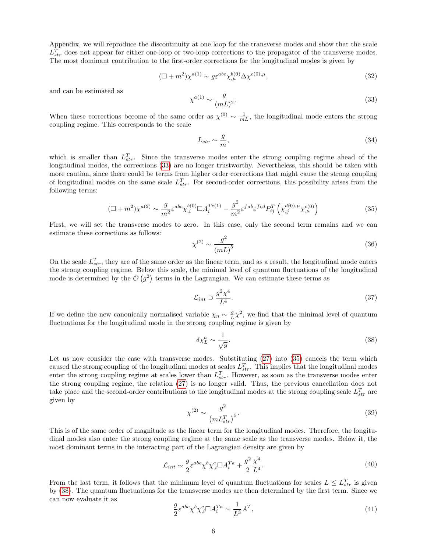Appendix, we will reproduce the discontinuity at one loop for the transverse modes and show that the scale  $L_{str}^T$  does not appear for either one-loop or two-loop corrections to the propagator of the transverse modes. The most dominant contribution to the first-order corrections for the longitudinal modes is given by

<span id="page-6-0"></span>
$$
(\Box + m^2) \chi^{a(1)} \sim g \varepsilon^{abc} \chi^{b(0)}_{,\mu} \Delta \chi^{c(0),\mu}, \tag{32}
$$

and can be estimated as

$$
\chi^{a(1)} \sim \frac{g}{(mL)^2}.\tag{33}
$$

When these corrections become of the same order as  $\chi^{(0)} \sim \frac{1}{mL}$ , the longitudinal mode enters the strong coupling regime. This corresponds to the scale

$$
L_{str} \sim \frac{g}{m},\tag{34}
$$

which is smaller than  $L_{str}^T$ . Since the transverse modes enter the strong coupling regime ahead of the longitudinal modes, the corrections [\(33\)](#page-6-0) are no longer trustworthy. Nevertheless, this should be taken with more caution, since there could be terms from higher order corrections that might cause the strong coupling of longitudinal modes on the same scale  $L_{str}^T$ . For second-order corrections, this possibility arises from the following terms:

<span id="page-6-1"></span>
$$
(\Box + m^2) \chi^{a(2)} \sim \frac{g}{m^2} \varepsilon^{abc} \chi_{,i}^{b(0)} \Box A_i^{Tc(1)} - \frac{g^2}{m^2} \varepsilon^{fab} \varepsilon^{fcd} P_{ij}^T \left( \chi_{,j}^{d(0),\mu} \chi_{,\mu}^{c(0)} \right)
$$
(35)

First, we will set the transverse modes to zero. In this case, only the second term remains and we can estimate these corrections as follows:

$$
\chi^{(2)} \sim \frac{g^2}{\left(mL\right)^5} \tag{36}
$$

On the scale  $L_{str}^T$ , they are of the same order as the linear term, and as a result, the longitudinal mode enters the strong coupling regime. Below this scale, the minimal level of quantum fluctuations of the longitudinal mode is determined by the  $\mathcal{O}(g^2)$  terms in the Lagrangian. We can estimate these terms as

$$
\mathcal{L}_{int} \supset \frac{g^2 \chi^4}{L^4}.\tag{37}
$$

If we define the new canonically normalised variable  $\chi_n \sim \frac{g}{L}\chi^2$ , we find that the minimal level of quantum fluctuations for the longitudinal mode in the strong coupling regime is given by

<span id="page-6-2"></span>
$$
\delta \chi_L^a \sim \frac{1}{\sqrt{g}}.\tag{38}
$$

Let us now consider the case with transverse modes. Substituting [\(27\)](#page-5-3) into [\(35\)](#page-6-1) cancels the term which caused the strong coupling of the longitudinal modes at scales  $L_{str}^T$ . This implies that the longitudinal modes enter the strong coupling regime at scales lower than  $L_{str}^T$ . However, as soon as the transverse modes enter the strong coupling regime, the relation [\(27\)](#page-5-3) is no longer valid. Thus, the previous cancellation does not take place and the second-order contributions to the longitudinal modes at the strong coupling scale  $L_{str}^T$  are given by

$$
\chi^{(2)} \sim \frac{g^2}{\left(m L_{str}^T\right)^5}.\tag{39}
$$

This is of the same order of magnitude as the linear term for the longitudinal modes. Therefore, the longitudinal modes also enter the strong coupling regime at the same scale as the transverse modes. Below it, the most dominant terms in the interacting part of the Lagrangian density are given by

$$
\mathcal{L}_{int} \sim \frac{g}{2} \varepsilon^{abc} \chi^b \chi^c_{,i} \Box A_i^{Ta} + \frac{g^2}{2} \frac{\chi^4}{L^4}.
$$
\n(40)

From the last term, it follows that the minimum level of quantum fluctuations for scales  $L \leq L_{str}^T$  is given by [\(38\)](#page-6-2). The quantum fluctuations for the transverse modes are then determined by the first term. Since we can now evaluate it as

$$
\frac{g}{2}\varepsilon^{abc}\chi^b\chi^c_{,i}\Box A_i^{Ta} \sim \frac{1}{L^3}A^T,\tag{41}
$$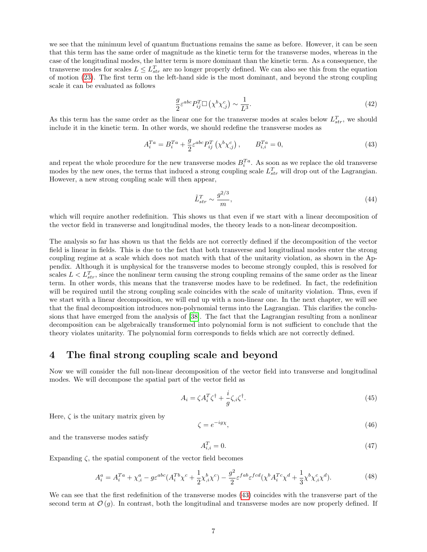we see that the minimum level of quantum fluctuations remains the same as before. However, it can be seen that this term has the same order of magnitude as the kinetic term for the transverse modes, whereas in the case of the longitudinal modes, the latter term is more dominant than the kinetic term. As a consequence, the transverse modes for scales  $L \leq L_{str}^T$  are no longer properly defined. We can also see this from the equation of motion [\(23\)](#page-5-2). The first term on the left-hand side is the most dominant, and beyond the strong coupling scale it can be evaluated as follows

$$
\frac{g}{2}\varepsilon^{abc}P_{ij}^T\square\left(\chi^b\chi^c_{,j}\right)\sim\frac{1}{L^3}.\tag{42}
$$

As this term has the same order as the linear one for the transverse modes at scales below  $L_{str}^T$ , we should include it in the kinetic term. In other words, we should redefine the transverse modes as

$$
A_i^{Ta} = B_i^{Ta} + \frac{g}{2} \varepsilon^{abc} P_{ij}^T \left( \chi^b \chi^c_{,j} \right), \qquad B_{i,i}^{Ta} = 0,
$$
\n(43)

and repeat the whole procedure for the new transverse modes  $B_i^{Ta}$ . As soon as we replace the old transverse modes by the new ones, the terms that induced a strong coupling scale  $L_{str}^T$  will drop out of the Lagrangian. However, a new strong coupling scale will then appear,

<span id="page-7-0"></span>
$$
\tilde{L}_{str}^T \sim \frac{g^{2/3}}{m},\tag{44}
$$

which will require another redefinition. This shows us that even if we start with a linear decomposition of the vector field in transverse and longitudinal modes, the theory leads to a non-linear decomposition.

The analysis so far has shown us that the fields are not correctly defined if the decomposition of the vector field is linear in fields. This is due to the fact that both transverse and longitudinal modes enter the strong coupling regime at a scale which does not match with that of the unitarity violation, as shown in the Appendix. Although it is unphysical for the transverse modes to become strongly coupled, this is resolved for scales  $L < L_{str}^T$ , since the nonlinear term causing the strong coupling remains of the same order as the linear term. In other words, this means that the transverse modes have to be redefined. In fact, the redefinition will be required until the strong coupling scale coincides with the scale of unitarity violation. Thus, even if we start with a linear decomposition, we will end up with a non-linear one. In the next chapter, we will see that the final decomposition introduces non-polynomial terms into the Lagrangian. This clarifies the conclusions that have emerged from the analysis of [\[38\]](#page-23-12). The fact that the Lagrangian resulting from a nonlinear decomposition can be algebraically transformed into polynomial form is not sufficient to conclude that the theory violates unitarity. The polynomial form corresponds to fields which are not correctly defined.

#### 4 The final strong coupling scale and beyond

Now we will consider the full non-linear decomposition of the vector field into transverse and longitudinal modes. We will decompose the spatial part of the vector field as

$$
A_i = \zeta A_i^T \zeta^\dagger + \frac{i}{g} \zeta_{,i} \zeta^\dagger. \tag{45}
$$

Here,  $\zeta$  is the unitary matrix given by

$$
\zeta = e^{-ig\chi},\tag{46}
$$

and the transverse modes satisfy

$$
A_{i,i}^T = 0.\t\t(47)
$$

Expanding  $\zeta$ , the spatial component of the vector field becomes

$$
A_i^a = A_i^{Ta} + \chi^a_{,i} - g\varepsilon^{abc}(A_i^{Tb}\chi^c + \frac{1}{2}\chi^b_{,i}\chi^c) - \frac{g^2}{2}\varepsilon^{fab}\varepsilon^{fed}(\chi^b A_i^{Tc}\chi^d + \frac{1}{3}\chi^b \chi^c_{,i}\chi^d).
$$
 (48)

We can see that the first redefinition of the transverse modes [\(43\)](#page-7-0) coincides with the transverse part of the second term at  $\mathcal{O}(q)$ . In contrast, both the longitudinal and transverse modes are now properly defined. If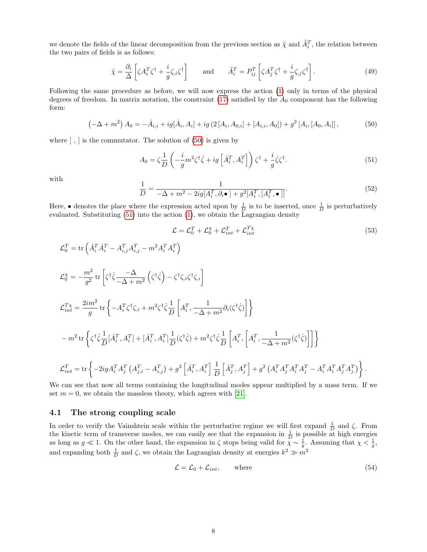we denote the fields of the linear decomposition from the previous section as  $\tilde{\chi}$  and  $\tilde{A}_i^T$ , the relation between the two pairs of fields is as follows:

$$
\tilde{\chi} = \frac{\partial_i}{\Delta} \left[ \zeta A_i^T \zeta^\dagger + \frac{i}{g} \zeta_{,i} \zeta^\dagger \right] \quad \text{and} \quad \tilde{A}_i^T = P_{ij}^T \left[ \zeta A_j^T \zeta^\dagger + \frac{i}{g} \zeta_{,j} \zeta^\dagger \right]. \tag{49}
$$

<span id="page-8-0"></span>Following the same procedure as before, we will now express the action [\(1\)](#page-2-2) only in terms of the physical degrees of freedom. In matrix notation, the constraint  $(17)$  satisfied by the  $A_0$  component has the following form:

$$
\left(-\Delta + m^2\right) A_0 = -\dot{A}_{i,i} + ig[\dot{A}_i, A_i] + ig\left(2\left[A_i, A_{0,i}\right] + \left[A_{i,i}, A_0\right]\right) + g^2\left[A_i, \left[A_0, A_i\right]\right],\tag{50}
$$

where  $[ , ]$  is the commutator. The solution of  $(50)$  is given by

<span id="page-8-1"></span>
$$
A_0 = \zeta \frac{1}{D} \left( -\frac{i}{g} m^2 \zeta^\dagger \dot{\zeta} + ig \left[ \dot{A}_i^T, A_i^T \right] \right) \zeta^\dagger + \frac{i}{g} \dot{\zeta} \zeta^\dagger. \tag{51}
$$

with

$$
\frac{1}{D} = \frac{1}{-\Delta + m^2 - 2ig[A_i^T, \partial_i \bullet] + g^2[A_i^T, [A_i^T, \bullet]]}.
$$
\n(52)

Here, • denotes the place where the expression acted upon by  $\frac{1}{D}$  is to be inserted, once  $\frac{1}{D}$  is perturbatively evaluated. Substituting [\(51\)](#page-8-1) into the action [\(1\)](#page-2-2), we obtain the Lagrangian density

<span id="page-8-3"></span>
$$
\mathcal{L} = \mathcal{L}_0^T + \mathcal{L}_0^\chi + \mathcal{L}_{int}^T + \mathcal{L}_{int}^{T\chi} \tag{53}
$$

$$
\mathcal{L}_0^T = \text{tr}\left(\dot{A}_i^T \dot{A}_i^T - A_{i,j}^T A_{i,j}^T - m^2 A_i^T A_i^T\right)
$$
\n
$$
\mathcal{L}_0^{\chi} = -\frac{m^2}{g^2} \text{tr}\left[\zeta^{\dagger} \dot{\zeta} \frac{-\Delta}{-\Delta + m^2} \left(\zeta^{\dagger} \dot{\zeta}\right) - \zeta^{\dagger} \zeta_i \zeta^{\dagger} \zeta_i\right]
$$
\n
$$
\mathcal{L}_{int}^T = \frac{2im^2}{g} \text{tr}\left\{-A_i^T \zeta^{\dagger} \zeta_i + m^2 \zeta^{\dagger} \dot{\zeta} \frac{1}{D} \left[A_i^T, \frac{1}{-\Delta + m^2} \partial_i(\zeta^{\dagger} \dot{\zeta})\right]\right\}
$$
\n
$$
-m^2 \text{tr}\left\{\zeta^{\dagger} \dot{\zeta} \frac{1}{D} [\dot{A}_i^T, A_i^T] + [\dot{A}_i^T, A_i^T] \frac{1}{D} (\zeta^{\dagger} \dot{\zeta}) + m^2 \zeta^{\dagger} \dot{\zeta} \frac{1}{D} \left[A_i^T, \left[A_i^T, \frac{1}{-\Delta + m^2} (\zeta^{\dagger} \dot{\zeta})\right]\right]\right\}
$$
\n
$$
\mathcal{L}_{int}^T = \text{tr}\left\{-2ig A_i^T A_j^T (A_{j,i}^T - A_{i,j}^T) + g^2 \left[\dot{A}_i^T, A_i^T\right] \frac{1}{D} \left[\dot{A}_j^T, A_j^T\right] + g^2 (A_i^T A_j^T A_i^T A_j^T - A_i^T A_i^T A_j^T A_j^T)\right\}.
$$

We can see that now all terms containing the longitudinal modes appear multiplied by a mass term. If we set  $m = 0$ , we obtain the massless theory, which agrees with [\[21\]](#page-22-0).

#### 4.1 The strong coupling scale

In order to verify the Vainshtein scale within the perturbative regime we will first expand  $\frac{1}{D}$  and  $\zeta$ . From the kinetic term of transverse modes, we can easily see that the expansion in  $\frac{1}{D}$  is possible at high energies as long as  $g \ll 1$ . On the other hand, the expansion in  $\zeta$  stops being valid for  $\chi \sim \frac{1}{g}$ . Assuming that  $\chi < \frac{1}{g}$ , and expanding both  $\frac{1}{D}$  and  $\zeta$ , we obtain the Lagrangian density at energies  $k^2 \gg m^2$ 

<span id="page-8-2"></span>
$$
\mathcal{L} = \mathcal{L}_0 + \mathcal{L}_{int}, \qquad \text{where} \tag{54}
$$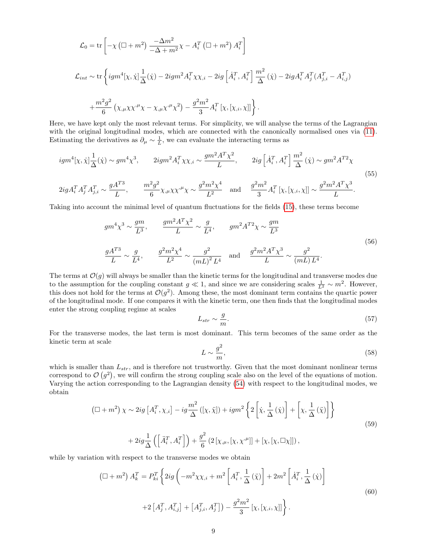$$
\mathcal{L}_0 = \text{tr}\left[ -\chi \left( \Box + m^2 \right) \frac{-\Delta m^2}{-\Delta + m^2} \chi - A_i^T \left( \Box + m^2 \right) A_i^T \right]
$$
  

$$
\mathcal{L}_{int} \sim \text{tr}\left\{ igm^4[\chi, \dot{\chi}] \frac{1}{\Delta}(\dot{\chi}) - 2igm^2 A_i^T \chi \chi_{,i} - 2ig \left[ \dot{A}_i^T, A_i^T \right] \frac{m^2}{\Delta}(\dot{\chi}) - 2igA_i^T A_j^T (A_{j,i}^T - A_{i,j}^T) \right.
$$
  

$$
+ \frac{m^2 g^2}{6} \left( \chi_{,\mu} \chi \chi^{,\mu} \chi - \chi_{,\mu} \chi^{,\mu} \chi^2 \right) - \frac{g^2 m^2}{3} A_i^T [\chi, [\chi_{,i}, \chi]] \right\}.
$$

Here, we have kept only the most relevant terms. For simplicity, we will analyse the terms of the Lagrangian with the original longitudinal modes, which are connected with the canonically normalised ones via  $(11)$ . Estimating the derivatives as  $\partial_{\mu} \sim \frac{1}{L}$ , we can evaluate the interacting terms as

$$
igm^{4}[\chi, \dot{\chi}] \frac{1}{\Delta}(\dot{\chi}) \sim gm^{4} \chi^{3}, \qquad 2igm^{2} A_{i}^{T} \chi \chi, i \sim \frac{gm^{2} A^{T} \chi^{2}}{L}, \qquad 2ig \left[ \dot{A}_{i}^{T}, A_{i}^{T} \right] \frac{m^{2}}{\Delta}(\dot{\chi}) \sim gm^{2} A^{T2} \chi
$$
  

$$
2ig A_{i}^{T} A_{j}^{T} A_{j,i}^{T} \sim \frac{g A^{T3}}{L}, \qquad \frac{m^{2} g^{2}}{6} \chi, \mu \chi \chi^{\mu} \chi \sim \frac{g^{2} m^{2} \chi^{4}}{L^{2}} \quad \text{and} \quad \frac{g^{2} m^{2}}{3} A_{i}^{T} [\chi, [\chi, i, \chi]] \sim \frac{g^{2} m^{2} A^{T} \chi^{3}}{L}.
$$
  
(55)

Taking into account the minimal level of quantum fluctuations for the fields [\(15\)](#page-3-5), these terms become

$$
gm^{4} \chi^{3} \sim \frac{gm}{L^{3}}, \qquad \frac{gm^{2} A^{T} \chi^{2}}{L} \sim \frac{g}{L^{4}}, \qquad gm^{2} A^{T2} \chi \sim \frac{gm}{L^{3}}
$$
\n
$$
\frac{g A^{T3}}{L} \sim \frac{g}{L^{4}}, \qquad \frac{g^{2} m^{2} \chi^{4}}{L^{2}} \sim \frac{g^{2}}{(mL)^{2} L^{4}} \quad \text{and} \quad \frac{g^{2} m^{2} A^{T} \chi^{3}}{L} \sim \frac{g^{2}}{(mL) L^{4}}.
$$
\n(56)

The terms at  $\mathcal{O}(g)$  will always be smaller than the kinetic terms for the longitudinal and transverse modes due to the assumption for the coupling constant  $g \ll 1$ , and since we are considering scales  $\frac{1}{L^2} \sim m^2$ . However, this does not hold for the terms at  $\mathcal{O}(g^2)$ . Among these, the most dominant term contains the quartic power of the longitudinal mode. If one compares it with the kinetic term, one then finds that the longitudinal modes enter the strong coupling regime at scales

$$
L_{str} \sim \frac{g}{m}.\tag{57}
$$

For the transverse modes, the last term is most dominant. This term becomes of the same order as the kinetic term at scale

$$
L \sim \frac{g^2}{m},\tag{58}
$$

which is smaller than  $L_{str}$ , and is therefore not trustworthy. Given that the most dominant nonlinear terms correspond to  $\mathcal{O}(g^2)$ , we will confirm the strong coupling scale also on the level of the equations of motion. Varying the action corresponding to the Lagrangian density [\(54\)](#page-8-2) with respect to the longitudinal modes, we obtain

$$
\left(\Box + m^2\right) \chi \sim 2ig \left[A_i^T, \chi_{,i}\right] - ig \frac{m^2}{\Delta} \left( [\chi, \ddot{\chi}) \right) + igm^2 \left\{ 2\left[\dot{\chi}, \frac{1}{\Delta} \left( \dot{\chi} \right) \right] + \left[\chi, \frac{1}{\Delta} \left( \ddot{\chi} \right) \right] \right\} + 2ig \frac{1}{\Delta} \left( \left[ \ddot{A}_i^T, A_i^T \right] \right) + \frac{g^2}{6} \left( 2\left[ \chi_{,\mu}, [\chi, \chi^{\mu}] \right] + [\chi, [\chi, \Box \chi]] \right),
$$
\n
$$
(59)
$$

while by variation with respect to the transverse modes we obtain

$$
\left(\Box + m^2\right) A_k^T = P_{ki}^T \left\{ 2ig \left( -m^2 \chi \chi_{,i} + m^2 \left[ A_i^T, \frac{1}{\Delta} \left( \ddot{\chi} \right) \right] + 2m^2 \left[ \dot{A}_i^T, \frac{1}{\Delta} \left( \dot{\chi} \right) \right] \right.\right.\left. + 2 \left[ A_j^T, A_{i,j}^T \right] + \left[ A_{j,i}^T, A_j^T \right] \right) - \frac{g^2 m^2}{3} \left[ \chi, [\chi_{,i}, \chi] \right] \right\}.
$$
\n
$$
(60)
$$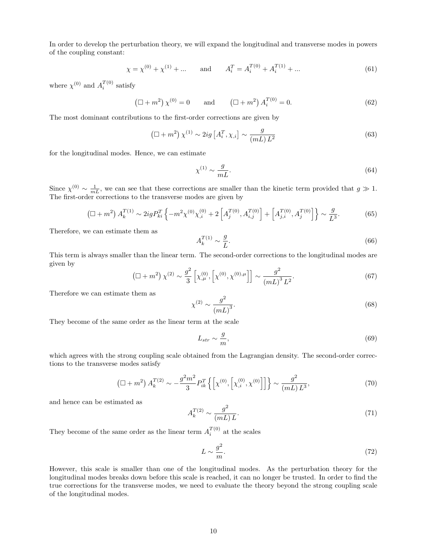In order to develop the perturbation theory, we will expand the longitudinal and transverse modes in powers of the coupling constant:

$$
\chi = \chi^{(0)} + \chi^{(1)} + \dots
$$
 and  $A_i^T = A_i^{T(0)} + A_i^{T(1)} + \dots$  (61)

where  $\chi^{(0)}$  and  $A_i^{T(0)}$  satisfy

$$
(\Box + m^2) \chi^{(0)} = 0 \quad \text{and} \quad (\Box + m^2) A_i^{T(0)} = 0. \tag{62}
$$

The most dominant contributions to the first-order corrections are given by

$$
\left(\Box + m^2\right) \chi^{(1)} \sim 2ig \left[A_i^T, \chi_{,i}\right] \sim \frac{g}{(mL)L^2}
$$
\n
$$
(63)
$$

for the longitudinal modes. Hence, we can estimate

$$
\chi^{(1)} \sim \frac{g}{mL}.\tag{64}
$$

Since  $\chi^{(0)} \sim \frac{1}{mL}$ , we can see that these corrections are smaller than the kinetic term provided that  $g \gg 1$ . The first-order corrections to the transverse modes are given by

$$
\left(\Box + m^2\right) A_k^{T(1)} \sim 2ig P_{ki}^T \left\{-m^2 \chi^{(0)} \chi_{,i}^{(0)} + 2\left[A_j^{T(0)}, A_{i,j}^{T(0)}\right] + \left[A_{j,i}^{T(0)}, A_j^{T(0)}\right]\right\} \sim \frac{g}{L^3}.\tag{65}
$$

Therefore, we can estimate them as

$$
A_k^{T(1)} \sim \frac{g}{L}.\tag{66}
$$

This term is always smaller than the linear term. The second-order corrections to the longitudinal modes are given by

$$
\left(\Box + m^2\right) \chi^{(2)} \sim \frac{g^2}{3} \left[ \chi^{(0)}_{,\mu}, \left[ \chi^{(0)}, \chi^{(0), \mu} \right] \right] \sim \frac{g^2}{\left( m^2\right)^3 L^2}.
$$
\n(67)

Therefore we can estimate them as

$$
\chi^{(2)} \sim \frac{g^2}{(mL)^3}.\tag{68}
$$

They become of the same order as the linear term at the scale

$$
L_{str} \sim \frac{g}{m},\tag{69}
$$

which agrees with the strong coupling scale obtained from the Lagrangian density. The second-order corrections to the transverse modes satisfy

$$
\left(\Box + m^2\right) A_k^{T(2)} \sim -\frac{g^2 m^2}{3} P_{ik}^T \left\{ \left[ \chi^{(0)}, \left[ \chi^{(0)}_{,i}, \chi^{(0)} \right] \right] \right\} \sim \frac{g^2}{(mL) L^3},\tag{70}
$$

and hence can be estimated as

$$
A_k^{T(2)} \sim \frac{g^2}{(mL)L}.\tag{71}
$$

They become of the same order as the linear term  $A_i^{T(0)}$  at the scales

$$
L \sim \frac{g^2}{m}.\tag{72}
$$

However, this scale is smaller than one of the longitudinal modes. As the perturbation theory for the longitudinal modes breaks down before this scale is reached, it can no longer be trusted. In order to find the true corrections for the transverse modes, we need to evaluate the theory beyond the strong coupling scale of the longitudinal modes.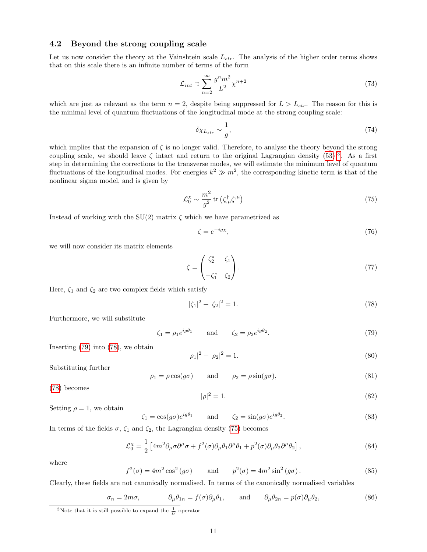#### 4.2 Beyond the strong coupling scale

Let us now consider the theory at the Vainshtein scale  $L_{str}$ . The analysis of the higher order terms shows that on this scale there is an infinite number of terms of the form

$$
\mathcal{L}_{int} \supset \sum_{n=2}^{\infty} \frac{g^n m^2}{L^2} \chi^{n+2} \tag{73}
$$

which are just as relevant as the term  $n = 2$ , despite being suppressed for  $L > L_{str}$ . The reason for this is the minimal level of quantum fluctuations of the longitudinal mode at the strong coupling scale:

$$
\delta \chi_{L_{str}} \sim \frac{1}{g},\tag{74}
$$

which implies that the expansion of  $\zeta$  is no longer valid. Therefore, to analyse the theory beyond the strong coupling scale, we should leave  $\zeta$  intact and return to the original Lagrangian density [\(53\)](#page-8-3).<sup>[3](#page-11-0)</sup>. As a first step in determining the corrections to the transverse modes, we will estimate the minimum level of quantum fluctuations of the longitudinal modes. For energies  $k^2 \gg m^2$ , the corresponding kinetic term is that of the nonlinear sigma model, and is given by

<span id="page-11-3"></span>
$$
\mathcal{L}_0^{\chi} \sim \frac{m^2}{g^2} \operatorname{tr} \left( \zeta_{,\mu}^{\dagger} \zeta^{,\mu} \right) \tag{75}
$$

Instead of working with the  $SU(2)$  matrix  $\zeta$  which we have parametrized as

$$
\zeta = e^{-ig\chi},\tag{76}
$$

we will now consider its matrix elements

$$
\zeta = \begin{pmatrix} \zeta_2^* & \zeta_1 \\ -\zeta_1^* & \zeta_2 \end{pmatrix} . \tag{77}
$$

Here,  $\zeta_1$  and  $\zeta_2$  are two complex fields which satisfy

<span id="page-11-2"></span>
$$
|\zeta_1|^2 + |\zeta_2|^2 = 1. \tag{78}
$$

Furthermore, we will substitute

<span id="page-11-1"></span>
$$
\zeta_1 = \rho_1 e^{ig\theta_1} \qquad \text{and} \qquad \zeta_2 = \rho_2 e^{ig\theta_2}.
$$
\n(79)

Inserting [\(79\)](#page-11-1) into [\(78\)](#page-11-2), we obtain

$$
|\rho_1|^2 + |\rho_2|^2 = 1. \tag{80}
$$

Substituting further

$$
\rho_1 = \rho \cos(g\sigma) \qquad \text{and} \qquad \rho_2 = \rho \sin(g\sigma), \tag{81}
$$

[\(78\)](#page-11-2) becomes

$$
|\rho|^2 = 1.\tag{82}
$$

Setting  $\rho = 1$ , we obtain

$$
\zeta_1 = \cos(g\sigma)e^{ig\theta_1} \qquad \text{and} \qquad \zeta_2 = \sin(g\sigma)e^{ig\theta_2}.
$$
 (83)

In terms of the fields  $\sigma$ ,  $\zeta_1$  and  $\zeta_2$ , the Lagrangian density [\(75\)](#page-11-3) becomes

$$
\mathcal{L}_0^{\chi} = \frac{1}{2} \left[ 4m^2 \partial_{\mu} \sigma \partial^{\mu} \sigma + f^2(\sigma) \partial_{\mu} \theta_1 \partial^{\mu} \theta_1 + p^2(\sigma) \partial_{\mu} \theta_2 \partial^{\mu} \theta_2 \right],
$$
\n(84)

where

$$
f^{2}(\sigma) = 4m^{2}\cos^{2}(g\sigma) \quad \text{and} \quad p^{2}(\sigma) = 4m^{2}\sin^{2}(g\sigma). \tag{85}
$$

Clearly, these fields are not canonically normalised. In terms of the canonically normalised variables

$$
\sigma_n = 2m\sigma, \qquad \partial_\mu \theta_{1n} = f(\sigma)\partial_\mu \theta_1, \qquad \text{and} \qquad \partial_\mu \theta_{2n} = p(\sigma)\partial_\mu \theta_2,\tag{86}
$$

<span id="page-11-0"></span><sup>&</sup>lt;sup>3</sup>Note that it is still possible to expand the  $\frac{1}{D}$  operator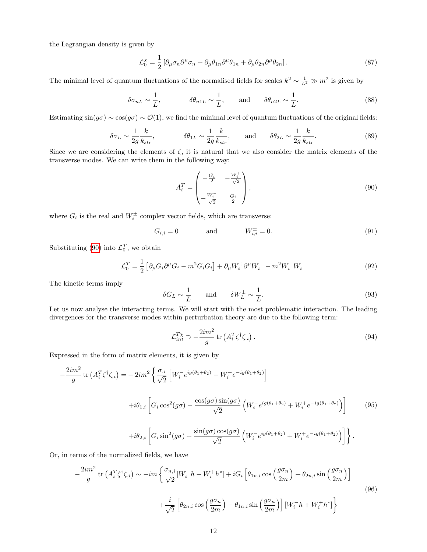the Lagrangian density is given by

$$
\mathcal{L}_0^{\chi} = \frac{1}{2} \left[ \partial_{\mu} \sigma_n \partial^{\mu} \sigma_n + \partial_{\mu} \theta_{1n} \partial^{\mu} \theta_{1n} + \partial_{\mu} \theta_{2n} \partial^{\mu} \theta_{2n} \right]. \tag{87}
$$

The minimal level of quantum fluctuations of the normalised fields for scales  $k^2 \sim \frac{1}{L^2} \gg m^2$  is given by

$$
\delta \sigma_{nL} \sim \frac{1}{L}, \qquad \delta \theta_{n1L} \sim \frac{1}{L}, \qquad \text{and} \qquad \delta \theta_{n2L} \sim \frac{1}{L}.
$$
\n(88)

Estimating  $\sin(g\sigma) \sim \cos(g\sigma) \sim \mathcal{O}(1)$ , we find the minimal level of quantum fluctuations of the original fields:

$$
\delta \sigma_L \sim \frac{1}{2g} \frac{k}{k_{str}}, \qquad \delta \theta_{1L} \sim \frac{1}{2g} \frac{k}{k_{str}}, \qquad \text{and} \qquad \delta \theta_{2L} \sim \frac{1}{2g} \frac{k}{k_{str}}.
$$
 (89)

Since we are considering the elements of  $\zeta$ , it is natural that we also consider the matrix elements of the transverse modes. We can write them in the following way:

<span id="page-12-1"></span><span id="page-12-0"></span>
$$
A_i^T = \begin{pmatrix} -\frac{G_i}{2} & -\frac{W_i^+}{\sqrt{2}}\\ -\frac{W_i^-}{\sqrt{2}} & \frac{G_i}{2} \end{pmatrix},
$$
\n(90)

where  $G_i$  is the real and  $W_i^{\pm}$  complex vector fields, which are transverse:

$$
G_{i,i} = 0
$$
 and  $W_{i,i}^{\pm} = 0.$  (91)

Substituting [\(90\)](#page-12-0) into  $\mathcal{L}_0^T$ , we obtain

$$
\mathcal{L}_0^T = \frac{1}{2} \left[ \partial_\mu G_i \partial^\mu G_i - m^2 G_i G_i \right] + \partial_\mu W_i^+ \partial^\mu W_i^- - m^2 W_i^+ W_i^- \tag{92}
$$

The kinetic terms imply

$$
\delta G_L \sim \frac{1}{L} \quad \text{and} \quad \delta W_L^{\pm} \sim \frac{1}{L}.
$$
 (93)

Let us now analyse the interacting terms. We will start with the most problematic interaction. The leading divergences for the transverse modes within perturbation theory are due to the following term:

$$
\mathcal{L}_{int}^{T\chi} \supset -\frac{2im^2}{g} \operatorname{tr}\left(A_i^T \zeta^\dagger \zeta_{,i}\right). \tag{94}
$$

Expressed in the form of matrix elements, it is given by

$$
-\frac{2im^2}{g}\operatorname{tr}\left(A_i^T\zeta^\dagger\zeta_i\right) = -2im^2\left\{\frac{\sigma_{,i}}{\sqrt{2}}\left[W_i^-e^{ig(\theta_1+\theta_2)} - W_i^+e^{-ig(\theta_1+\theta_2)}\right]\right.\
$$

$$
+i\theta_{1,i}\left[G_i\cos^2(g\sigma) - \frac{\cos(g\sigma)\sin(g\sigma)}{\sqrt{2}}\left(W_i^-e^{ig(\theta_1+\theta_2)} + W_i^+e^{-ig(\theta_1+\theta_2)}\right)\right]
$$
(95)

$$
+i\theta_{2,i}\left[G_i\sin^2(g\sigma)+\frac{\sin(g\sigma)\cos(g\sigma)}{\sqrt{2}}\left(W_i^{-}e^{ig(\theta_1+\theta_2)}+W_i^{+}e^{-ig(\theta_1+\theta_2)}\right)\right]\right\}.
$$

Or, in terms of the normalized fields, we have

$$
-\frac{2im^2}{g}\operatorname{tr}\left(A_i^T\zeta^\dagger\zeta_{,i}\right) \sim -im\left\{\frac{\sigma_{n,i}}{\sqrt{2}}[W_i^-h - W_i^+h^*] + iG_i\left[\theta_{1n,i}\cos\left(\frac{g\sigma_n}{2m}\right) + \theta_{2n,i}\sin\left(\frac{g\sigma_n}{2m}\right)\right] \right\}
$$

$$
+\frac{i}{\sqrt{2}}\left[\theta_{2n,i}\cos\left(\frac{g\sigma_n}{2m}\right) - \theta_{1n,i}\sin\left(\frac{g\sigma_n}{2m}\right)\right][W_i^-h + W_i^+h^*]\right\}
$$
(96)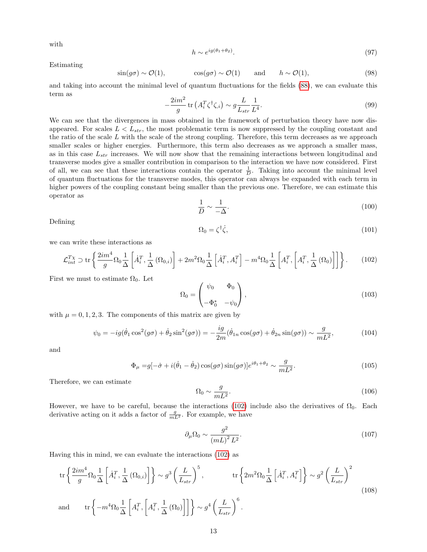with

$$
h \sim e^{ig(\theta_1 + \theta_2)}.\tag{97}
$$

Estimating

$$
\sin(g\sigma) \sim \mathcal{O}(1), \qquad \cos(g\sigma) \sim \mathcal{O}(1) \qquad \text{and} \qquad h \sim \mathcal{O}(1), \tag{98}
$$

<span id="page-13-1"></span>and taking into account the minimal level of quantum fluctuations for the fields [\(88\)](#page-12-1), we can evaluate this term as

$$
-\frac{2im^2}{g}\operatorname{tr}\left(A_i^T\zeta^\dagger\zeta_i\right) \sim g\frac{L}{L_{str}}\frac{1}{L^4}.\tag{99}
$$

We can see that the divergences in mass obtained in the framework of perturbation theory have now disappeared. For scales  $L < L_{str}$ , the most problematic term is now suppressed by the coupling constant and the ratio of the scale  $L$  with the scale of the strong coupling. Therefore, this term decreases as we approach smaller scales or higher energies. Furthermore, this term also decreases as we approach a smaller mass, as in this case  $L_{str}$  increases. We will now show that the remaining interactions between longitudinal and transverse modes give a smaller contribution in comparison to the interaction we have now considered. First of all, we can see that these interactions contain the operator  $\frac{1}{D}$ . Taking into account the minimal level of quantum fluctuations for the transverse modes, this operator can always be expanded with each term in higher powers of the coupling constant being smaller than the previous one. Therefore, we can estimate this operator as

$$
\frac{1}{D} \sim \frac{1}{-\Delta}.\tag{100}
$$

Defining

<span id="page-13-0"></span>
$$
\Omega_0 = \zeta^\dagger \dot{\zeta},\tag{101}
$$

we can write these interactions as

$$
\mathcal{L}_{int}^{T_X} \supset \text{tr}\left\{ \frac{2im^4}{g} \Omega_0 \frac{1}{\Delta} \left[ \dot{A}_i^T, \frac{1}{\Delta} \left( \Omega_{0,i} \right) \right] + 2m^2 \Omega_0 \frac{1}{\Delta} \left[ \dot{A}_i^T, A_i^T \right] - m^4 \Omega_0 \frac{1}{\Delta} \left[ A_i^T, \left[ A_i^T, \frac{1}{\Delta} \left( \Omega_0 \right) \right] \right] \right\}. \tag{102}
$$

First we must to estimate  $\Omega_0$ . Let

$$
\Omega_0 = \begin{pmatrix} \psi_0 & \Phi_0 \\ -\Phi_0^* & -\psi_0 \end{pmatrix},\tag{103}
$$

with  $\mu = 0, 1, 2, 3$ . The components of this matrix are given by

$$
\psi_0 = -ig(\dot{\theta}_1 \cos^2(g\sigma) + \dot{\theta}_2 \sin^2(g\sigma)) = -\frac{ig}{2m}(\dot{\theta}_{1n} \cos(g\sigma) + \dot{\theta}_{2n} \sin(g\sigma)) \sim \frac{g}{mL^2},\tag{104}
$$

and

$$
\Phi_{\mu} = g[-\dot{\sigma} + i(\dot{\theta}_1 - \dot{\theta}_2)\cos(g\sigma)\sin(g\sigma)]e^{i\theta_1 + \theta_2} \sim \frac{g}{mL^2}.
$$
\n(105)

Therefore, we can estimate

$$
\Omega_0 \sim \frac{g}{mL^2}.\tag{106}
$$

However, we have to be careful, because the interactions [\(102\)](#page-13-0) include also the derivatives of  $\Omega_0$ . Each derivative acting on it adds a factor of  $\frac{g}{mL^2}$ . For example, we have

$$
\partial_{\mu}\Omega_0 \sim \frac{g^2}{\left(mL\right)^2 L^2}.\tag{107}
$$

Having this in mind, we can evaluate the interactions [\(102\)](#page-13-0) as

$$
\operatorname{tr}\left\{\frac{2im^4}{g}\Omega_0\frac{1}{\Delta}\left[\dot{A}_i^T,\frac{1}{\Delta}\left(\Omega_{0,i}\right)\right]\right\} \sim g^3\left(\frac{L}{L_{str}}\right)^5, \qquad \operatorname{tr}\left\{2m^2\Omega_0\frac{1}{\Delta}\left[\dot{A}_i^T,A_i^T\right]\right\} \sim g^2\left(\frac{L}{L_{str}}\right)^2
$$
\nand

\n
$$
\operatorname{tr}\left\{-m^4\Omega_0\frac{1}{\Delta}\left[A_i^T,\left[A_i^T,\frac{1}{\Delta}\left(\Omega_0\right)\right]\right]\right\} \sim g^4\left(\frac{L}{L_{str}}\right)^6.
$$
\n(108)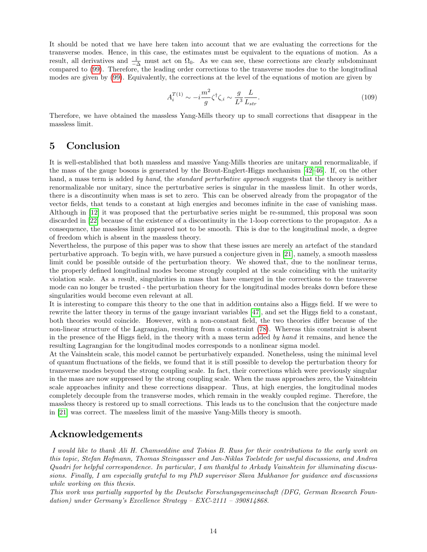It should be noted that we have here taken into account that we are evaluating the corrections for the transverse modes. Hence, in this case, the estimates must be equivalent to the equations of motion. As a result, all derivatives and  $\frac{1}{-\Delta}$  must act on  $\Omega_0$ . As we can see, these corrections are clearly subdominant compared to [\(99\)](#page-13-1). Therefore, the leading order corrections to the transverse modes due to the longitudinal modes are given by [\(99\)](#page-13-1). Equivalently, the corrections at the level of the equations of motion are given by

$$
A_i^{T(1)} \sim -i\frac{m^2}{g}\zeta^{\dagger}\zeta_i \sim \frac{g}{L^3}\frac{L}{L_{str}}.\tag{109}
$$

Therefore, we have obtained the massless Yang-Mills theory up to small corrections that disappear in the massless limit.

### 5 Conclusion

It is well-established that both massless and massive Yang-Mills theories are unitary and renormalizable, if the mass of the gauge bosons is generated by the Brout-Englert-Higgs mechanism [\[42–](#page-23-16)[46\]](#page-23-17). If, on the other hand, a mass term is added by hand, the standard perturbative approach suggests that the theory is neither renormalizable nor unitary, since the perturbative series is singular in the massless limit. In other words, there is a discontinuity when mass is set to zero. This can be observed already from the propagator of the vector fields, that tends to a constant at high energies and becomes infinite in the case of vanishing mass. Although in [\[12\]](#page-22-8) it was proposed that the perturbative series might be re-summed, this proposal was soon discarded in [\[22\]](#page-22-15) because of the existence of a discontinuity in the 1-loop corrections to the propagator. As a consequence, the massless limit appeared not to be smooth. This is due to the longitudinal mode, a degree of freedom which is absent in the massless theory.

Nevertheless, the purpose of this paper was to show that these issues are merely an artefact of the standard perturbative approach. To begin with, we have pursued a conjecture given in [\[21\]](#page-22-0), namely, a smooth massless limit could be possible outside of the perturbation theory. We showed that, due to the nonlinear terms, the properly defined longitudinal modes become strongly coupled at the scale coinciding with the unitarity violation scale. As a result, singularities in mass that have emerged in the corrections to the transverse mode can no longer be trusted - the perturbation theory for the longitudinal modes breaks down before these singularities would become even relevant at all.

It is interesting to compare this theory to the one that in addition contains also a Higgs field. If we were to rewrite the latter theory in terms of the gauge invariant variables [\[47\]](#page-23-18), and set the Higgs field to a constant, both theories would coincide. However, with a non-constant field, the two theories differ because of the non-linear structure of the Lagrangian, resulting from a constraint [\(78\)](#page-11-2). Whereas this constraint is absent in the presence of the Higgs field, in the theory with a mass term added by hand it remains, and hence the resulting Lagrangian for the longitudinal modes corresponds to a nonlinear sigma model.

At the Vainshtein scale, this model cannot be perturbatively expanded. Nonetheless, using the minimal level of quantum fluctuations of the fields, we found that it is still possible to develop the perturbation theory for transverse modes beyond the strong coupling scale. In fact, their corrections which were previously singular in the mass are now suppressed by the strong coupling scale. When the mass approaches zero, the Vainshtein scale approaches infinity and these corrections disappear. Thus, at high energies, the longitudinal modes completely decouple from the transverse modes, which remain in the weakly coupled regime. Therefore, the massless theory is restored up to small corrections. This leads us to the conclusion that the conjecture made in [\[21\]](#page-22-0) was correct. The massless limit of the massive Yang-Mills theory is smooth.

## Acknowledgements

I would like to thank Ali H. Chamseddine and Tobias B. Russ for their contributions to the early work on this topic, Stefan Hofmann, Thomas Steingasser and Jan-Niklas Toelstede for useful discussions, and Andrea Quadri for helpful correspondence. In particular, I am thankful to Arkady Vainshtein for illuminating discussions. Finally, I am especially grateful to my PhD supervisor Slava Mukhanov for guidance and discussions while working on this thesis.

This work was partially supported by the Deutsche Forschungsgemeinschaft (DFG, German Research Foundation) under Germany's Excellence Strategy – EXC-2111 – 390814868.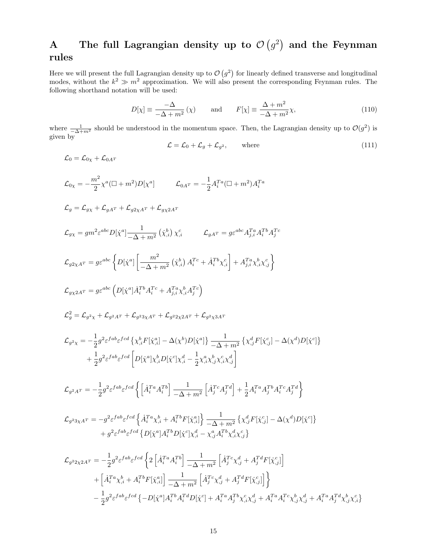# <span id="page-15-0"></span>A The full Lagrangian density up to  $\mathcal{O}(g^2)$  and the Feynman rules

Here we will present the full Lagrangian density up to  $\mathcal{O}(g^2)$  for linearly defined transverse and longitudinal modes, without the  $k^2 \gg m^2$  approximation. We will also present the corresponding Feynman rules. The following shorthand notation will be used:

$$
D[\chi] \equiv \frac{-\Delta}{-\Delta + m^2} (\chi) \quad \text{and} \quad F[\chi] \equiv \frac{\Delta + m^2}{-\Delta + m^2} \chi,
$$
\n(110)

where  $\frac{1}{-\Delta+m^2}$  should be understood in the momentum space. Then, the Lagrangian density up to  $\mathcal{O}(g^2)$  is given by

$$
\mathcal{L} = \mathcal{L}_0 + \mathcal{L}_g + \mathcal{L}_{g^2}, \qquad \text{where} \tag{111}
$$

$$
\mathcal{L}_{0} = \mathcal{L}_{0\chi} + \mathcal{L}_{0A^{T}}
$$
\n
$$
\mathcal{L}_{0\chi} = -\frac{m^{2}}{2}\chi^{a}(\Box + m^{2})D[\chi^{a}] \qquad \mathcal{L}_{0A^{T}} = -\frac{1}{2}A_{i}^{Ta}(\Box + m^{2})A_{i}^{Ta}
$$
\n
$$
\mathcal{L}_{g} = \mathcal{L}_{g\chi} + \mathcal{L}_{gA^{T}} + \mathcal{L}_{g2\chi A^{T}} + \mathcal{L}_{g\chi 2A^{T}}
$$
\n
$$
\mathcal{L}_{g\chi} = gm^{2}e^{abc}D[\chi^{a}] \frac{1}{-\Delta + m^{2}} (\chi^{b}_{,i}) \chi^{c}_{,i} \qquad \mathcal{L}_{gA^{T}} = g e^{abc} A_{j,i}^{Ta} A_{i}^{Tb} A_{j}^{Te}
$$
\n
$$
\mathcal{L}_{g2\chi A^{T}} = g e^{abc} \Big\{ D[\chi^{a}] \Big[ \frac{m^{2}}{-\Delta + m^{2}} (\chi^{b}_{,i}) A_{i}^{Te} + \dot{A}_{i}^{Tb} \chi^{c}_{,i} \Big] + A_{j,i}^{Ta} \chi^{b}_{,i} \chi^{c}_{,j} \Big\}
$$
\n
$$
\mathcal{L}_{g\chi 2A^{T}} = g e^{abc} \Big( D[\chi^{a}] A_{i}^{Tb} A_{i}^{Te} + A_{j,i}^{Ta} \chi^{b}_{,i} A_{j}^{Te} \Big)
$$
\n
$$
\mathcal{L}_{g}^{2} = \mathcal{L}_{g^{2}\chi} + \mathcal{L}_{g^{2}A^{T}} + \mathcal{L}_{g^{2}3\chi A^{T}} + \mathcal{L}_{g^{2}2\chi 2A^{T}} + \mathcal{L}_{g^{2}\chi 3A^{T}}
$$
\n
$$
\mathcal{L}_{g^{2}\chi} = -\frac{1}{2} g^{2} \varepsilon^{fab} \varepsilon^{fed} \Big\{ \chi^{b}_{,i} F[\chi^{a}_{,i}] - \Delta(\chi^{b}) D[\chi^{a}] \Big\} \frac{1}{-\Delta + m^{2}} \Big\{ \chi^{d}_{,j} F[\chi^{c}_{,j}] - \Delta(\chi^{d}) D[\chi^{c}] \Big\}
$$
\n
$$
+ \frac{1}{2} g^{2
$$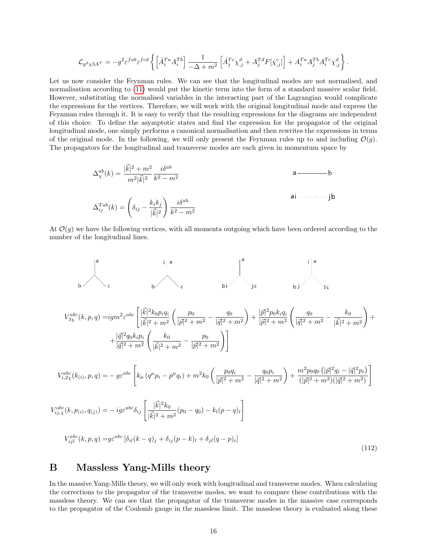$$
\mathcal{L}_{g^2\chi3A^T} = -g^2\varepsilon^{fab}\varepsilon^{fcd}\left\{ \left[ \dot{A}^{Ta}_iA^{Tb}_i\right] \frac{1}{-\Delta + m^2}\left[ \dot{A}^{Tc}_j\chi^d_{,j} + A^{Td}_jF[\dot{\chi}^c_{,j}]\right] + A^{Ta}_iA^{Tb}_jA^{Tc}_i\chi^d_{,j}\right\}.
$$

Let us now consider the Feynman rules. We can see that the longitudinal modes are not normalised, and normalisation according to [\(11\)](#page-3-4) would put the kinetic term into the form of a standard massive scalar field. However, substituting the normalised variables in the interacting part of the Lagrangian would complicate the expressions for the vertices. Therefore, we will work with the original longitudinal mode and express the Feynman rules through it. It is easy to verify that the resulting expressions for the diagrams are independent of this choice. To define the asymptotic states and find the expression for the propagator of the original longitudinal mode, one simply performs a canonical normalisation and then rewrites the expressions in terms of the original mode. In the following, we will only present the Feynman rules up to and including  $\mathcal{O}(q)$ . The propagators for the longitudinal and transverse modes are each given in momentum space by

$$
\Delta_{\chi}^{ab}(k) = \frac{|\vec{k}|^2 + m^2}{m^2 |\vec{k}|^2} \frac{i\delta^{ab}}{k^2 - m^2}
$$
\n
$$
\Delta_{ij}^{Tab}(k) = \left(\delta_{ij} - \frac{k_i k_j}{|\vec{k}|^2}\right) \frac{i\delta^{ab}}{k^2 - m^2}
$$
\nai

At  $\mathcal{O}(g)$  we have the following vertices, with all momenta outgoing which have been ordered according to the number of the longitudinal lines.



### <span id="page-16-0"></span>B Massless Yang-Mills theory

In the massive Yang-Mills theory, we will only work with longitudinal and transverse modes. When calculating the corrections to the propagator of the transverse modes, we want to compare these contributions with the massless theory. We can see that the propagator of the transverse modes in the massive case corresponds to the propagator of the Coulomb gauge in the massless limit. The massless theory is evaluated along these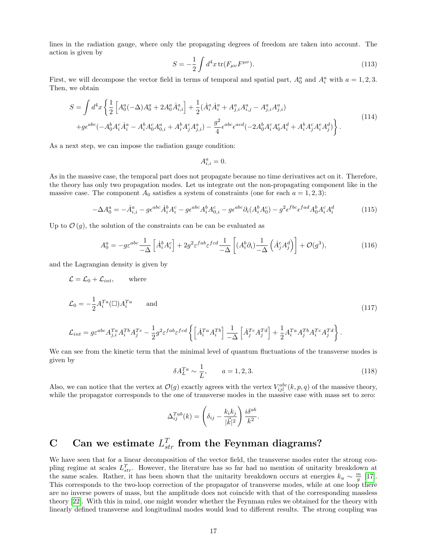lines in the radiation gauge, where only the propagating degrees of freedom are taken into account. The action is given by

$$
S = -\frac{1}{2} \int d^4x \, \text{tr}(F_{\mu\nu}F^{\mu\nu}).
$$
\n(113)

First, we will decompose the vector field in terms of temporal and spatial part,  $A_0^a$  and  $A_i^a$  with  $a = 1, 2, 3$ . Then, we obtain

$$
S = \int d^4x \left\{ \frac{1}{2} \left[ A_0^a (-\Delta) A_0^a + 2A_0^a \dot{A}_{i,i}^a \right] + \frac{1}{2} (\dot{A}_i^a \dot{A}_i^a + A_{j,i}^a A_{i,j}^a - A_{j,i}^a A_{j,i}^a) + g\epsilon^{abc} (-A_0^b A_i^c \dot{A}_i^a - A_i^b A_0^c A_{0,i}^a + A_i^b A_j^c A_{j,i}^a) - \frac{g^2}{4} \epsilon^{abc} \epsilon^{acd} (-2A_0^b A_i^c A_0^e A_i^d + A_i^b A_j^c A_i^a A_j^d) \right\}.
$$
\n
$$
(114)
$$

As a next step, we can impose the radiation gauge condition:

$$
A_{i,i}^a = 0.
$$

As in the massive case, the temporal part does not propagate because no time derivatives act on it. Therefore, the theory has only two propagation modes. Let us integrate out the non-propagating component like in the massive case. The component  $A_0$  satisfies a system of constraints (one for each  $a = 1, 2, 3$ ):

$$
-\Delta A_0^a = -\dot{A}_{i,i}^a - g\epsilon^{abc}\dot{A}_i^b A_i^c - g\epsilon^{abc}A_i^b A_{0,i}^c - g\epsilon^{abc}\partial_i(A_i^b A_0^c) - g^2\epsilon^{fbc}\epsilon^{fad}A_0^b A_i^c A_i^d \tag{115}
$$

Up to  $\mathcal{O}(g)$ , the solution of the constraints can be can be evaluated as

$$
A_0^a = -g\varepsilon^{abc} \frac{1}{-\Delta} \left[ \dot{A}_i^b A_i^c \right] + 2g^2 \varepsilon^{fab} \varepsilon^{fcd} \frac{1}{-\Delta} \left[ (A_i^b \partial_i) \frac{1}{-\Delta} \left( \dot{A}_j^c A_j^d \right) \right] + \mathcal{O}(g^3),\tag{116}
$$

and the Lagrangian density is given by

 $\frac{1}{k}$ 

$$
\mathcal{L} = \mathcal{L}_0 + \mathcal{L}_{int}, \quad \text{where}
$$
\n
$$
\mathcal{L}_0 = -\frac{1}{2} A_i^{T_a} (\Box) A_i^{T_a} \quad \text{and}
$$
\n
$$
\mathcal{L}_{int} = g \varepsilon^{abc} A_{j,i}^{T_a} A_i^{T_b} A_j^{T_c} - \frac{1}{2} g^2 \varepsilon^{fab} \varepsilon^{fcd} \left\{ \left[ \dot{A}_i^{T_a} A_i^{T_b} \right] \frac{1}{-\Delta} \left[ \dot{A}_j^{T_c} A_j^{T_d} \right] + \frac{1}{2} A_i^{T_a} A_j^{T_b} A_i^{T_c} A_j^{T_d} \right\}.
$$
\n(117)

 $-\Delta$ 

We can see from the kinetic term that the minimal level of quantum fluctuations of the transverse modes is given by

$$
\delta A_L^{Ta} \sim \frac{1}{L}, \qquad a = 1, 2, 3. \tag{118}
$$

Also, we can notice that the vertex at  $\mathcal{O}(g)$  exactly agrees with the vertex  $V_{ijl}^{abc}(k, p, q)$  of the massive theory, while the propagator corresponds to the one of transverse modes in the massive case with mass set to zero:

$$
\Delta_{ij}^{Tab}(k) = \left(\delta_{ij} - \frac{k_ik_j}{|\vec{k}|^2}\right) \frac{i\delta^{ab}}{k^2}.
$$

# C Can we estimate  $L_{str}^T$  from the Feynman diagrams?

We have seen that for a linear decomposition of the vector field, the transverse modes enter the strong coupling regime at scales  $L_{str}^T$ . However, the literature has so far had no mention of unitarity breakdown at the same scales. Rather, it has been shown that the unitarity breakdown occurs at energies  $k_u \sim \frac{m}{g}$  [\[17\]](#page-22-13). This corresponds to the two-loop correction of the propagator of transverse modes, while at one loop there are no inverse powers of mass, but the amplitude does not coincide with that of the corresponding massless theory [\[22\]](#page-22-15). With this in mind, one might wonder whether the Feynman rules we obtained for the theory with linearly defined transverse and longitudinal modes would lead to different results. The strong coupling was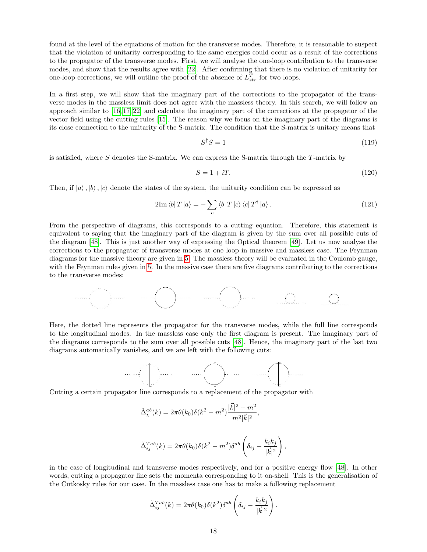found at the level of the equations of motion for the transverse modes. Therefore, it is reasonable to suspect that the violation of unitarity corresponding to the same energies could occur as a result of the corrections to the propagator of the transverse modes. First, we will analyse the one-loop contribution to the transverse modes, and show that the results agree with [\[22\]](#page-22-15). After confirming that there is no violation of unitarity for one-loop corrections, we will outline the proof of the absence of  $L_{str}^T$  for two loops.

In a first step, we will show that the imaginary part of the corrections to the propagator of the transverse modes in the massless limit does not agree with the massless theory. In this search, we will follow an approach similar to [\[16,](#page-22-12) [17,](#page-22-13) [22\]](#page-22-15) and calculate the imaginary part of the corrections at the propagator of the vector field using the cutting rules [\[15\]](#page-22-11). The reason why we focus on the imaginary part of the diagrams is its close connection to the unitarity of the S-matrix. The condition that the S-matrix is unitary means that

$$
S^{\dagger}S = 1\tag{119}
$$

is satisfied, where  $S$  denotes the S-matrix. We can express the S-matrix through the  $T$ -matrix by

$$
S = 1 + iT. \tag{120}
$$

Then, if  $|a\rangle, |b\rangle, |c\rangle$  denote the states of the system, the unitarity condition can be expressed as

$$
2\mathrm{Im}\left\langle b\right|T\left|a\right\rangle = -\sum_{c}\left\langle b\right|T\left|c\right\rangle\left\langle c\right|T^{\dagger}\left|a\right\rangle. \tag{121}
$$

From the perspective of diagrams, this corresponds to a cutting equation. Therefore, this statement is equivalent to saying that the imaginary part of the diagram is given by the sum over all possible cuts of the diagram [\[48\]](#page-23-19). This is just another way of expressing the Optical theorem [\[49\]](#page-23-20). Let us now analyse the corrections to the propagator of transverse modes at one loop in massive and massless case. The Feynman diagrams for the massive theory are given in [5.](#page-15-0) The massless theory will be evaluated in the Coulomb gauge, with the Feynman rules given in [5.](#page-16-0) In the massive case there are five diagrams contributing to the corrections to the transverse modes:



Here, the dotted line represents the propagator for the transverse modes, while the full line corresponds to the longitudinal modes. In the massless case only the first diagram is present. The imaginary part of the diagrams corresponds to the sum over all possible cuts [\[48\]](#page-23-19). Hence, the imaginary part of the last two diagrams automatically vanishes, and we are left with the following cuts:



Cutting a certain propagator line corresponds to a replacement of the propagator with

$$
\tilde{\Delta}_{\chi}^{ab}(k) = 2\pi \theta(k_0) \delta(k^2 - m^2) \frac{|\vec{k}|^2 + m^2}{m^2 |\vec{k}|^2},
$$

$$
\tilde{\Delta}_{ij}^{Tab}(k) = 2\pi\theta(k_0)\delta(k^2 - m^2)\delta^{ab}\left(\delta_{ij} - \frac{k_ik_j}{|\vec{k}|^2}\right),
$$

in the case of longitudinal and transverse modes respectively, and for a positive energy flow [\[48\]](#page-23-19). In other words, cutting a propagator line sets the momenta corresponding to it on-shell. This is the generalisation of the Cutkosky rules for our case. In the massless case one has to make a following replacement

$$
\tilde{\Delta}_{ij}^{Tab}(k) = 2\pi \theta(k_0) \delta(k^2) \delta^{ab} \left(\delta_{ij} - \frac{k_i k_j}{|\vec{k}|^2}\right).
$$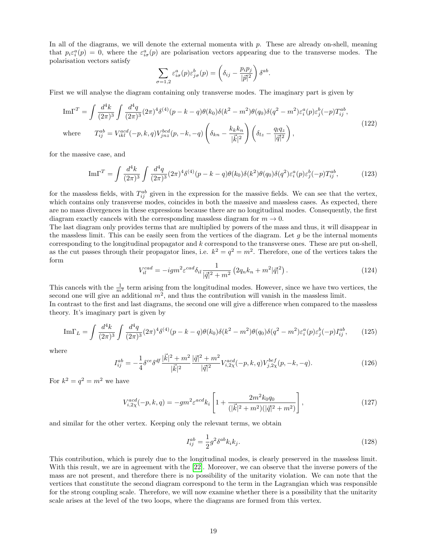In all of the diagrams, we will denote the external momenta with  $p$ . These are already on-shell, meaning that  $p_i \varepsilon_i^a(p) = 0$ , where the  $\varepsilon_{i\sigma}^a(p)$  are polarisation vectors appearing due to the transverse modes. The polarisation vectors satisfy

$$
\sum_{\sigma=1,2} \varepsilon_{i\sigma}^a(p) \varepsilon_{j\sigma}^b(p) = \left(\delta_{ij} - \frac{p_i p_j}{|\vec{p}|^2}\right) \delta^{ab}.
$$

First we will analyse the diagram containing only transverse modes. The imaginary part is given by

$$
\text{Im}\Gamma^{T} = \int \frac{d^{4}k}{(2\pi)^{3}} \int \frac{d^{4}q}{(2\pi)^{3}} (2\pi)^{4} \delta^{(4)}(p-k-q) \theta(k_{0}) \delta(k^{2}-m^{2}) \theta(q_{0}) \delta(q^{2}-m^{2}) \varepsilon_{i}^{a}(p) \varepsilon_{j}^{b}(-p) T_{ij}^{ab},
$$
\nwhere\n
$$
T_{ij}^{ab} = V_{ikl}^{acd}(-p,k,q) V_{jnz}^{bcd}(p,-k,-q) \left(\delta_{kn} - \frac{k_{k}k_{n}}{|\vec{k}|^{2}}\right) \left(\delta_{lz} - \frac{q_{l}q_{z}}{|\vec{q}|^{2}}\right),
$$
\n(122)

for the massive case, and

$$
\mathrm{Im}\Gamma^{T} = \int \frac{d^{4}k}{(2\pi)^{3}} \int \frac{d^{4}q}{(2\pi)^{3}} (2\pi)^{4} \delta^{(4)}(p-k-q) \theta(k_{0}) \delta(k^{2}) \theta(q_{0}) \delta(q^{2}) \varepsilon_{i}^{a}(p) \varepsilon_{j}^{b}(-p) T_{ij}^{ab}, \tag{123}
$$

for the massless fields, with  $T_{ij}^{ab}$  given in the expression for the massive fields. We can see that the vertex, which contains only transverse modes, coincides in both the massive and massless cases. As expected, there are no mass divergences in these expressions because there are no longitudinal modes. Consequently, the first diagram exactly cancels with the corresponding massless diagram for  $m \to 0$ .

The last diagram only provides terms that are multiplied by powers of the mass and thus, it will disappear in the massless limit. This can be easily seen from the vertices of the diagram. Let  $g$  be the internal moments corresponding to the longitudinal propagator and k correspond to the transverse ones. These are put on-shell, as the cut passes through their propagator lines, i.e.  $k^2 = q^2 = m^2$ . Therefore, one of the vertices takes the form

$$
V_{il}^{cad} = -igm^2 \varepsilon^{cad} \delta_{il} \frac{1}{|\vec{q}|^2 + m^2} \left( 2q_n k_n + m^2 |\vec{q}|^2 \right).
$$
 (124)

This cancels with the  $\frac{1}{m^2}$  term arising from the longitudinal modes. However, since we have two vertices, the second one will give an additional  $m^2$ , and thus the contribution will vanish in the massless limit. In contrast to the first and last diagrams, the second one will give a difference when compared to the massless

$$
\mathrm{Im}\Gamma_{L} = \int \frac{d^{4}k}{(2\pi)^{3}} \int \frac{d^{4}q}{(2\pi)^{3}} (2\pi)^{4} \delta^{(4)}(p-k-q) \theta(k_{0}) \delta(k^{2}-m^{2}) \theta(q_{0}) \delta(q^{2}-m^{2}) \varepsilon_{i}^{a}(p) \varepsilon_{j}^{b}(-p) I_{ij}^{ab}, \qquad (125)
$$

where

$$
I_{ij}^{ab} = -\frac{1}{4} \delta^{ce} \delta^{df} \frac{|\vec{k}|^2 + m^2}{|\vec{k}|^2} \frac{|\vec{q}|^2 + m^2}{|\vec{q}|^2} V_{i,2\chi}^{acd}(-p,k,q) V_{j,2\chi}^{bef}(p,-k,-q). \tag{126}
$$

For  $k^2 = q^2 = m^2$  we have

theory. It's imaginary part is given by

$$
V_{i,2\chi}^{acd}(-p,k,q) = -gm^2 \varepsilon^{acd} k_i \left[ 1 + \frac{2m^2 k_0 q_0}{(|\vec{k}|^2 + m^2)(|\vec{q}|^2 + m^2)} \right],
$$
\n(127)

and similar for the other vertex. Keeping only the relevant terms, we obtain

$$
I_{ij}^{ab} = \frac{1}{2}g^2 \delta^{ab} k_i k_j. \tag{128}
$$

This contribution, which is purely due to the longitudinal modes, is clearly preserved in the massless limit. With this result, we are in agreement with the [\[22\]](#page-22-15). Moreover, we can observe that the inverse powers of the mass are not present, and therefore there is no possibility of the unitarity violation. We can note that the vertices that constitute the second diagram correspond to the term in the Lagrangian which was responsible for the strong coupling scale. Therefore, we will now examine whether there is a possibility that the unitarity scale arises at the level of the two loops, where the diagrams are formed from this vertex.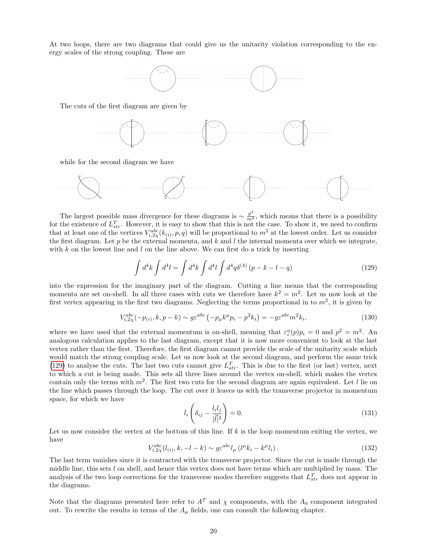At two loops, there are two diagrams that could give us the unitarity violation corresponding to the energy scales of the strong coupling. These are



The cuts of the first diagram are given by



while for the second diagram we have



The largest possible mass divergence for these diagrams is  $\sim \frac{g^4}{m^8}$ , which means that there is a possibility for the existence of  $L_{str}^T$ . However, it is easy to show that this is not the case. To show it, we need to confirm that at least one of the vertices  $V_{i,2\chi}^{abc}(k_{(i)},p,q)$  will be proportional to  $m^2$  at the lowest order. Let us consider the first diagram. Let  $p$  be the external momenta, and  $k$  and  $l$  the internal momenta over which we integrate, with  $k$  on the lowest line and  $l$  on the line above. We can first do a trick by inserting

<span id="page-20-0"></span>
$$
\int d^4k \int d^4l = \int d^4k \int d^4l \int d^4q \delta^{(4)} (p - k - l - q) \tag{129}
$$

into the expression for the imaginary part of the diagram. Cutting a line means that the corresponding momenta are set on-shell. In all three cases with cuts we therefore have  $k^2 = m^2$ . Let us now look at the first vertex appearing in the first two diagrams. Neglecting the terms proportional in to  $m^2$ , it is given by

$$
V_{i,2\chi}^{abc}(-p_{(i)},k,p-k) \sim g\varepsilon^{abc} \left(-p_{\mu}k^{\mu}p_{i}-p^{2}k_{i}\right) = -g\varepsilon^{abc}m^{2}k_{i},\tag{130}
$$

where we have used that the external momentum is on-shell, meaning that  $\varepsilon_i^a(p)p_i = 0$  and  $p^2 = m^2$ . An analogous calculation applies to the last diagram, except that it is now more convenient to look at the last vertex rather than the first. Therefore, the first diagram cannot provide the scale of the unitarity scale which would match the strong coupling scale. Let us now look at the second diagram, and perform the same trick [\(129\)](#page-20-0) to analyse the cuts. The last two cuts cannot give  $L_{str}^T$ . This is due to the first (or last) vertex, next to which a cut is being made. This sets all three lines around the vertex on-shell, which makes the vertex contain only the terms with  $m^2$ . The first two cuts for the second diagram are again equivalent. Let l lie on the line which passes through the loop. The cut over it leaves us with the transverse projector in momentum space, for which we have

$$
l_i\left(\delta_{ij} - \frac{l_i l_j}{|\vec{l}|^2}\right) = 0.\tag{131}
$$

Let us now consider the vertex at the bottom of this line. If  $k$  is the loop momentum exiting the vertex, we have

$$
V_{i,2\chi}^{abc}(l_{(i)},k,-l-k) \sim g\varepsilon^{abc}l_{\mu} \left(l^{\mu}k_{i}-k^{\mu}l_{i}\right). \tag{132}
$$

The last term vanishes since it is contracted with the transverse projector. Since the cut is made through the middle line, this sets l on shell, and hence this vertex does not have terms which are multiplied by mass. The analysis of the two loop corrections for the transverse modes therefore suggests that  $L_{str}^T$  does not appear in the diagrams.

Note that the diagrams presented here refer to  $A<sup>T</sup>$  and  $\chi$  components, with the  $A<sub>0</sub>$  component integrated out. To rewrite the results in terms of the  $A_\mu$  fields, one can consult the following chapter.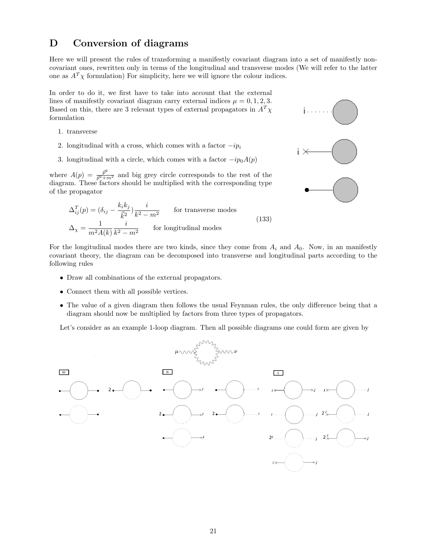## D Conversion of diagrams

Here we will present the rules of transforming a manifestly covariant diagram into a set of manifestly noncovariant ones, rewritten only in terms of the longitudinal and transverse modes (We will refer to the latter one as  $A^T \chi$  formulation) For simplicity, here we will ignore the colour indices.

In order to do it, we first have to take into account that the external lines of manifestly covariant diagram carry external indices  $\mu = 0, 1, 2, 3$ . Based on this, there are 3 relevant types of external propagators in  $A<sup>T</sup> \chi$ formulation

- 1. transverse
- 2. longitudinal with a cross, which comes with a factor  $-ip<sub>i</sub>$
- 3. longitudinal with a circle, which comes with a factor  $-ip<sub>0</sub>A(p)$

where  $A(p) = \frac{\bar{p}^2}{\bar{p}^2 + m^2}$  and big grey circle corresponds to the rest of the diagram. These factors should be multiplied with the corresponding type of the propagator

$$
\Delta_{ij}^T(p) = (\delta_{ij} - \frac{k_i k_j}{\vec{k}^2}) \frac{i}{k^2 - m^2}
$$
 for transverse modes  

$$
\Delta_{\chi} = \frac{1}{m^2 A(k)} \frac{i}{k^2 - m^2}
$$
 for longitudinal modes (133)



For the longitudinal modes there are two kinds, since they come from  $A_i$  and  $A_0$ . Now, in an manifestly covariant theory, the diagram can be decomposed into transverse and longitudinal parts according to the following rules

- Draw all combinations of the external propagators.
- Connect them with all possible vertices.
- The value of a given diagram then follows the usual Feynman rules, the only difference being that a diagram should now be multiplied by factors from three types of propagators.

Let's consider as an example 1-loop diagram. Then all possible diagrams one could form are given by

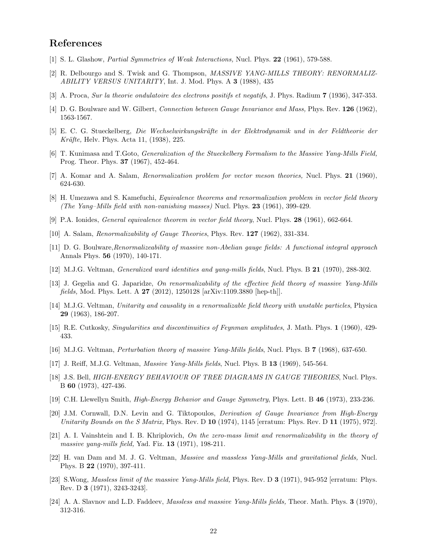## References

- <span id="page-22-1"></span>[1] S. L. Glashow, Partial Symmetries of Weak Interactions, Nucl. Phys. 22 (1961), 579-588.
- <span id="page-22-2"></span>[2] R. Delbourgo and S. Twisk and G. Thompson, MASSIVE YANG-MILLS THEORY: RENORMALIZ-ABILITY VERSUS UNITARITY, Int. J. Mod. Phys. A 3 (1988), 435
- <span id="page-22-3"></span>[3] A. Proca, Sur la theorie ondulatoire des electrons positifs et negatifs, J. Phys. Radium 7 (1936), 347-353.
- <span id="page-22-4"></span>[4] D. G. Boulware and W. Gilbert, Connection between Gauge Invariance and Mass, Phys. Rev. 126 (1962), 1563-1567.
- <span id="page-22-5"></span>[5] E. C. G. Stueckelberg, Die Wechselwirkungskräfte in der Elektrodynamik und in der Feldtheorie der Kräfte, Helv. Phys. Acta 11, (1938), 225.
- <span id="page-22-6"></span>[6] T. Kunimasa and T.Goto, Generalization of the Stueckelberg Formalism to the Massive Yang-Mills Field, Prog. Theor. Phys. 37 (1967), 452-464.
- <span id="page-22-7"></span>[7] A. Komar and A. Salam, Renormalization problem for vector meson theories, Nucl. Phys. 21 (1960), 624-630.
- [8] H. Umezawa and S. Kamefuchi, Equivalence theorems and renormalization problem in vector field theory (The Yang–Mills field with non-vanishing masses) Nucl. Phys. 23 (1961), 399-429.
- [9] P.A. Ionides, General equivalence theorem in vector field theory, Nucl. Phys. 28 (1961), 662-664.
- <span id="page-22-17"></span>[10] A. Salam, Renormalizability of Gauge Theories, Phys. Rev. 127 (1962), 331-334.
- [11] D. G. Boulware,Renormalizeability of massive non-Abelian gauge fields: A functional integral approach Annals Phys. 56 (1970), 140-171.
- <span id="page-22-8"></span>[12] M.J.G. Veltman, Generalized ward identities and yang-mills fields, Nucl. Phys. B 21 (1970), 288-302.
- <span id="page-22-9"></span>[13] J. Gegelia and G. Japaridze, On renormalizability of the effective field theory of massive Yang-Mills fields, Mod. Phys. Lett. A 27 (2012), 1250128 [arXiv:1109.3880 [hep-th]].
- <span id="page-22-10"></span>[14] M.J.G. Veltman, Unitarity and causality in a renormalizable field theory with unstable particles, Physica 29 (1963), 186-207.
- <span id="page-22-11"></span>[15] R.E. Cutkosky, Singularities and discontinuities of Feynman amplitudes, J. Math. Phys. 1 (1960), 429- 433.
- <span id="page-22-12"></span>[16] M.J.G. Veltman, Perturbation theory of massive Yang-Mills fields, Nucl. Phys. B 7 (1968), 637-650.
- <span id="page-22-13"></span>[17] J. Reiff, M.J.G. Veltman, Massive Yang-Mills fields, Nucl. Phys. B 13 (1969), 545-564.
- <span id="page-22-14"></span>[18] J.S. Bell, HIGH-ENERGY BEHAVIOUR OF TREE DIAGRAMS IN GAUGE THEORIES, Nucl. Phys. B 60 (1973), 427-436.
- [19] C.H. Llewellyn Smith, High-Energy Behavior and Gauge Symmetry, Phys. Lett. B 46 (1973), 233-236.
- [20] J.M. Cornwall, D.N. Levin and G. Tiktopoulos, Derivation of Gauge Invariance from High-Energy Unitarity Bounds on the S Matrix, Phys. Rev. D 10 (1974), 1145 [erratum: Phys. Rev. D 11 (1975), 972].
- <span id="page-22-0"></span>[21] A. I. Vainshtein and I. B. Khriplovich, On the zero-mass limit and renormalizability in the theory of massive yang-mills field, Yad. Fiz. 13 (1971), 198-211.
- <span id="page-22-15"></span>[22] H. van Dam and M. J. G. Veltman, Massive and massless Yang-Mills and gravitational fields, Nucl. Phys. B 22 (1970), 397-411.
- [23] S.Wong, Massless limit of the massive Yang-Mills field, Phys. Rev. D 3 (1971), 945-952 [erratum: Phys. Rev. D 3 (1971), 3243-3243].
- <span id="page-22-16"></span>[24] A. A. Slavnov and L.D. Faddeev, Massless and massive Yang-Mills fields, Theor. Math. Phys. 3 (1970), 312-316.